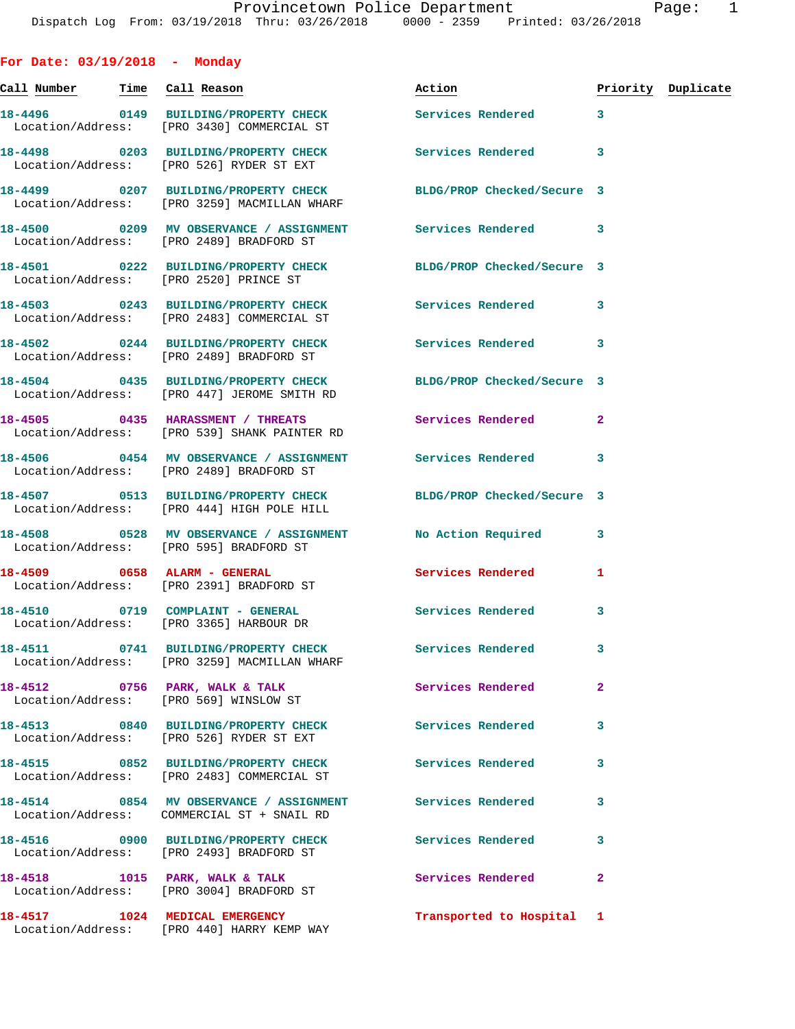**For Date: 03/19/2018 - Monday Call Number Time Call Reason Action Priority Duplicate 18-4496 0149 BUILDING/PROPERTY CHECK Services Rendered 3**  Location/Address: [PRO 3430] COMMERCIAL ST **18-4498 0203 BUILDING/PROPERTY CHECK Services Rendered 3**  Location/Address: [PRO 526] RYDER ST EXT **18-4499 0207 BUILDING/PROPERTY CHECK BLDG/PROP Checked/Secure 3**  Location/Address: [PRO 3259] MACMILLAN WHARF **18-4500 0209 MV OBSERVANCE / ASSIGNMENT Services Rendered 3**  Location/Address: [PRO 2489] BRADFORD ST **18-4501 0222 BUILDING/PROPERTY CHECK BLDG/PROP Checked/Secure 3**  Location/Address: [PRO 2520] PRINCE ST **18-4503 0243 BUILDING/PROPERTY CHECK Services Rendered 3**  Location/Address: [PRO 2483] COMMERCIAL ST **18-4502 0244 BUILDING/PROPERTY CHECK Services Rendered 3**  Location/Address: [PRO 2489] BRADFORD ST **18-4504 0435 BUILDING/PROPERTY CHECK BLDG/PROP Checked/Secure 3**  Location/Address: [PRO 447] JEROME SMITH RD **18-4505 0435 HARASSMENT / THREATS Services Rendered 2**  Location/Address: [PRO 539] SHANK PAINTER RD **18-4506 0454 MV OBSERVANCE / ASSIGNMENT Services Rendered 3**  Location/Address: [PRO 2489] BRADFORD ST **18-4507 0513 BUILDING/PROPERTY CHECK BLDG/PROP Checked/Secure 3**  Location/Address: [PRO 444] HIGH POLE HILL **18-4508 0528 MV OBSERVANCE / ASSIGNMENT No Action Required 3**  Location/Address: [PRO 595] BRADFORD ST **18-4509 0658 ALARM - GENERAL Services Rendered 1**  Location/Address: [PRO 2391] BRADFORD ST 18-4510 0719 COMPLAINT - GENERAL **Services Rendered** 3 Location/Address: [PRO 3365] HARBOUR DR **18-4511 0741 BUILDING/PROPERTY CHECK Services Rendered 3**  Location/Address: [PRO 3259] MACMILLAN WHARF **18-4512 0756 PARK, WALK & TALK Services Rendered 2**  Location/Address: [PRO 569] WINSLOW ST **18-4513 0840 BUILDING/PROPERTY CHECK Services Rendered 3**  Location/Address: [PRO 526] RYDER ST EXT **18-4515 0852 BUILDING/PROPERTY CHECK Services Rendered 3**  Location/Address: [PRO 2483] COMMERCIAL ST **18-4514 0854 MV OBSERVANCE / ASSIGNMENT Services Rendered 3**  Location/Address: COMMERCIAL ST + SNAIL RD **18-4516 0900 BUILDING/PROPERTY CHECK Services Rendered 3**  Location/Address: [PRO 2493] BRADFORD ST 18-4518 **1015 PARK, WALK & TALK** Services Rendered 2 Location/Address: [PRO 3004] BRADFORD ST

**18-4517 1024 MEDICAL EMERGENCY Transported to Hospital 1**  Location/Address: [PRO 440] HARRY KEMP WAY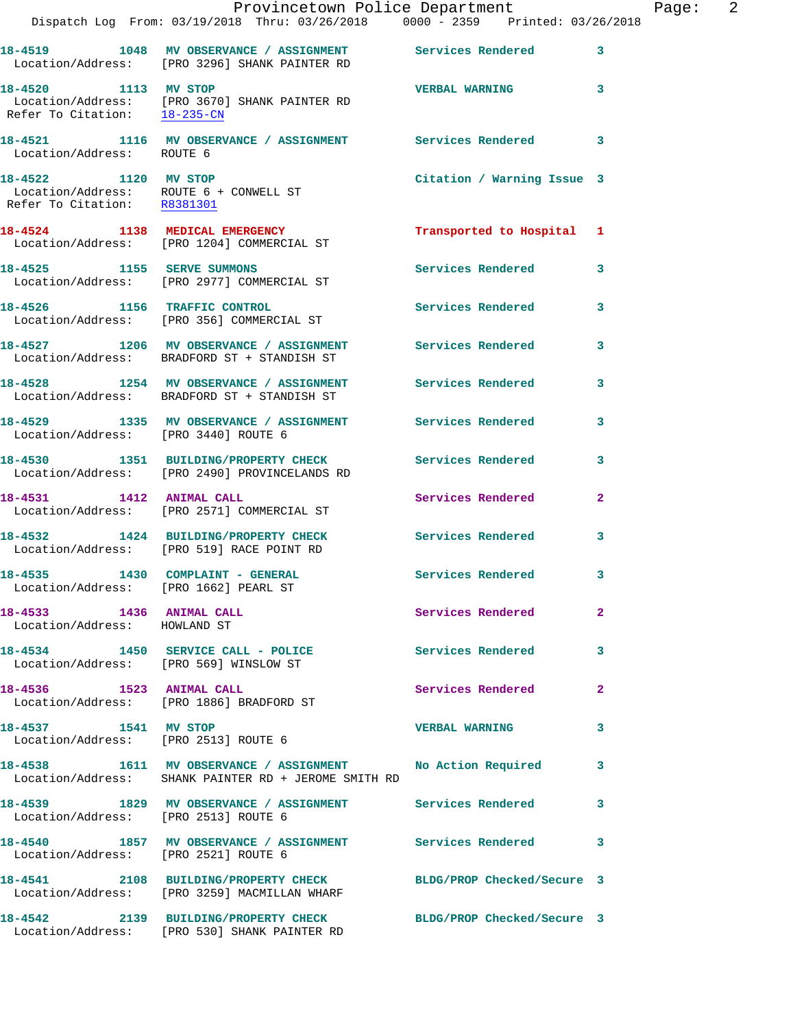|                                                          | Provincetown Police Department<br>Dispatch Log From: 03/19/2018 Thru: 03/26/2018 0000 - 2359 Printed: 03/26/2018   |                            | Page: 2                 |
|----------------------------------------------------------|--------------------------------------------------------------------------------------------------------------------|----------------------------|-------------------------|
|                                                          | 18-4519 1048 MV OBSERVANCE / ASSIGNMENT Services Rendered 3<br>Location/Address: [PRO 3296] SHANK PAINTER RD       |                            |                         |
| 18-4520 1113 MV STOP                                     | Location/Address: [PRO 3670] SHANK PAINTER RD<br>Refer To Citation: 18-235-CN                                      | VERBAL WARNING 3           |                         |
| Location/Address: ROUTE 6                                | 18-4521 1116 MV OBSERVANCE / ASSIGNMENT Services Rendered 3                                                        |                            |                         |
| Refer To Citation: R8381301                              | 18-4522 1120 MV STOP<br>Location/Address: ROUTE 6 + CONWELL ST                                                     | Citation / Warning Issue 3 |                         |
|                                                          | 18-4524 1138 MEDICAL EMERGENCY<br>Location/Address: [PRO 1204] COMMERCIAL ST                                       | Transported to Hospital 1  |                         |
|                                                          | 18-4525 1155 SERVE SUMMONS<br>Location/Address: [PRO 2977] COMMERCIAL ST                                           | Services Rendered 3        |                         |
|                                                          | 18-4526 1156 TRAFFIC CONTROL<br>Location/Address: [PRO 356] COMMERCIAL ST                                          | Services Rendered 3        |                         |
|                                                          | 18-4527 1206 MV OBSERVANCE / ASSIGNMENT Services Rendered<br>Location/Address: BRADFORD ST + STANDISH ST           |                            | $\mathbf{3}$            |
|                                                          | 18-4528 1254 MV OBSERVANCE / ASSIGNMENT Services Rendered<br>Location/Address: BRADFORD ST + STANDISH ST           |                            | 3                       |
| Location/Address: [PRO 3440] ROUTE 6                     | 18-4529 1335 MV OBSERVANCE / ASSIGNMENT Services Rendered                                                          |                            | $\mathbf{3}$            |
|                                                          | 18-4530 1351 BUILDING/PROPERTY CHECK Services Rendered<br>Location/Address: [PRO 2490] PROVINCELANDS RD            |                            | $\mathbf{3}$            |
|                                                          | 18-4531 1412 ANIMAL CALL<br>Location/Address: [PRO 2571] COMMERCIAL ST                                             | Services Rendered          | $\mathbf{2}$            |
|                                                          | 18-4532 1424 BUILDING/PROPERTY CHECK Services Rendered<br>Location/Address: [PRO 519] RACE POINT RD                |                            | 3                       |
| Location/Address: [PRO 1662] PEARL ST                    | 18-4535 1430 COMPLAINT - GENERAL Services Rendered 3                                                               |                            |                         |
| 18-4533 1436 ANIMAL CALL<br>Location/Address: HOWLAND ST |                                                                                                                    | Services Rendered          | $\mathbf{2}$            |
|                                                          | 18-4534 1450 SERVICE CALL - POLICE Services Rendered<br>Location/Address: [PRO 569] WINSLOW ST                     |                            | 3                       |
| 18-4536 1523 ANIMAL CALL                                 | Location/Address: [PRO 1886] BRADFORD ST                                                                           | Services Rendered 2        |                         |
| 18-4537 1541 MV STOP                                     | Location/Address: [PRO 2513] ROUTE 6                                                                               | <b>VERBAL WARNING</b>      | 3                       |
|                                                          | 18-4538 1611 MV OBSERVANCE / ASSIGNMENT No Action Required<br>Location/Address: SHANK PAINTER RD + JEROME SMITH RD |                            | 3                       |
| Location/Address: [PRO 2513] ROUTE 6                     |                                                                                                                    |                            | $\overline{\mathbf{3}}$ |
| Location/Address: [PRO 2521] ROUTE 6                     | 18-4540 1857 MV OBSERVANCE / ASSIGNMENT Services Rendered 3                                                        |                            |                         |
|                                                          | 18-4541 2108 BUILDING/PROPERTY CHECK BLDG/PROP Checked/Secure 3<br>Location/Address: [PRO 3259] MACMILLAN WHARF    |                            |                         |
|                                                          | 18-4542 2139 BUILDING/PROPERTY CHECK<br>Location/Address: [PRO 530] SHANK PAINTER RD                               | BLDG/PROP Checked/Secure 3 |                         |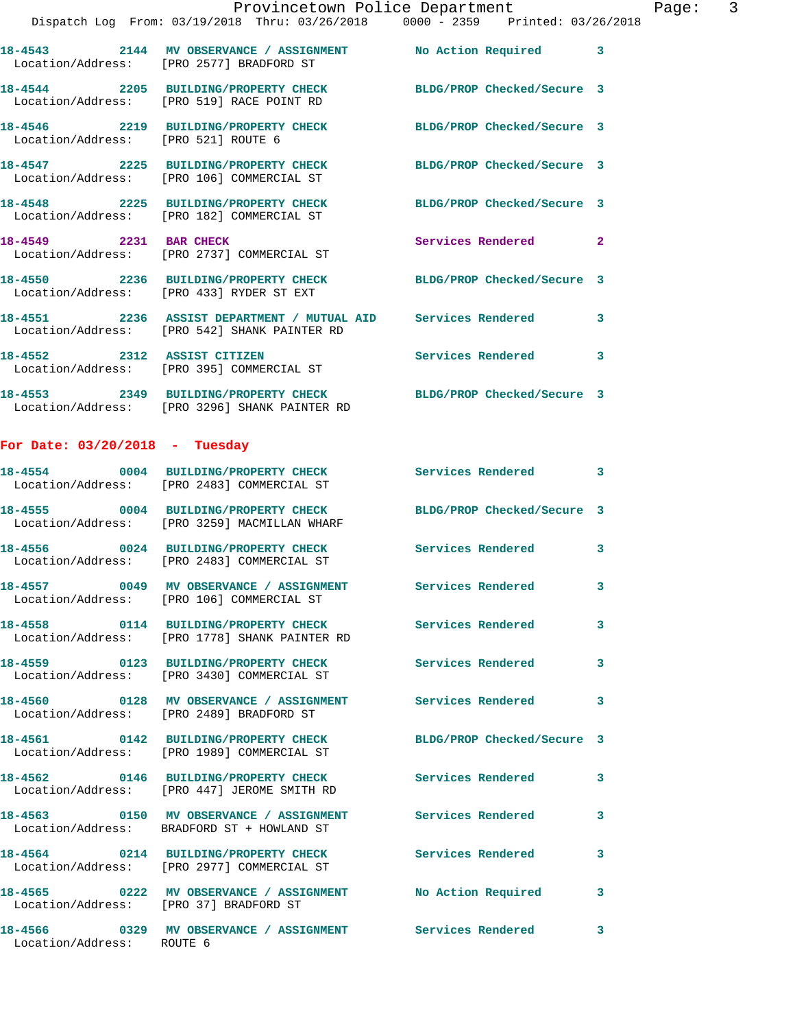|                                        | Dispatch Log From: 03/19/2018 Thru: 03/26/2018 0000 - 2359 Printed: 03/26/2018                                   | Provincetown Police Department |    | Page: 3 |  |
|----------------------------------------|------------------------------------------------------------------------------------------------------------------|--------------------------------|----|---------|--|
|                                        | 18-4543 2144 MV OBSERVANCE / ASSIGNMENT No Action Required 3<br>Location/Address: [PRO 2577] BRADFORD ST         |                                |    |         |  |
|                                        | 18-4544 2205 BUILDING/PROPERTY CHECK BLDG/PROP Checked/Secure 3<br>Location/Address: [PRO 519] RACE POINT RD     |                                |    |         |  |
|                                        | 18-4546 2219 BUILDING/PROPERTY CHECK BLDG/PROP Checked/Secure 3<br>Location/Address: [PRO 521] ROUTE 6           |                                |    |         |  |
|                                        | 18-4547 2225 BUILDING/PROPERTY CHECK BLDG/PROP Checked/Secure 3<br>Location/Address: [PRO 106] COMMERCIAL ST     |                                |    |         |  |
|                                        | 18-4548 2225 BUILDING/PROPERTY CHECK BLDG/PROP Checked/Secure 3<br>Location/Address: [PRO 182] COMMERCIAL ST     |                                |    |         |  |
|                                        | 18-4549 2231 BAR CHECK<br>Location/Address: [PRO 2737] COMMERCIAL ST                                             | Services Rendered 2            |    |         |  |
|                                        | 18-4550 2236 BUILDING/PROPERTY CHECK BLDG/PROP Checked/Secure 3<br>Location/Address: [PRO 433] RYDER ST EXT      |                                |    |         |  |
|                                        | 18-4551 2236 ASSIST DEPARTMENT / MUTUAL AID Services Rendered 3<br>Location/Address: [PRO 542] SHANK PAINTER RD  |                                |    |         |  |
|                                        | 18-4552 2312 ASSIST CITIZEN<br>Location/Address: [PRO 395] COMMERCIAL ST                                         | Services Rendered 3            |    |         |  |
|                                        | 18-4553 2349 BUILDING/PROPERTY CHECK BLDG/PROP Checked/Secure 3<br>Location/Address: [PRO 3296] SHANK PAINTER RD |                                |    |         |  |
| For Date: $03/20/2018$ - Tuesday       |                                                                                                                  |                                |    |         |  |
|                                        | 18-4554 0004 BUILDING/PROPERTY CHECK Services Rendered<br>Location/Address: [PRO 2483] COMMERCIAL ST             |                                | 3  |         |  |
|                                        | 18-4555 0004 BUILDING/PROPERTY CHECK BLDG/PROP Checked/Secure 3<br>Location/Address: [PRO 3259] MACMILLAN WHARF  |                                |    |         |  |
|                                        | 18-4556 0024 BUILDING/PROPERTY CHECK Services Rendered 3<br>Location/Address: [PRO 2483] COMMERCIAL ST           |                                |    |         |  |
|                                        | 18-4557 0049 MV OBSERVANCE / ASSIGNMENT<br>Location/Address: [PRO 106] COMMERCIAL ST                             | <b>Services Rendered</b>       | -3 |         |  |
|                                        | 18-4558 0114 BUILDING/PROPERTY CHECK<br>Location/Address: [PRO 1778] SHANK PAINTER RD                            | <b>Services Rendered</b>       | 3  |         |  |
|                                        | 18-4559 0123 BUILDING/PROPERTY CHECK<br>Location/Address: [PRO 3430] COMMERCIAL ST                               | Services Rendered              | 3  |         |  |
|                                        | 18-4560 0128 MV OBSERVANCE / ASSIGNMENT<br>Location/Address: [PRO 2489] BRADFORD ST                              | Services Rendered              | 3  |         |  |
|                                        | 18-4561 0142 BUILDING/PROPERTY CHECK BLDG/PROP Checked/Secure 3<br>Location/Address: [PRO 1989] COMMERCIAL ST    |                                |    |         |  |
|                                        | 18-4562 0146 BUILDING/PROPERTY CHECK<br>Location/Address: [PRO 447] JEROME SMITH RD                              | Services Rendered              | 3  |         |  |
|                                        | 18-4563 0150 MV OBSERVANCE / ASSIGNMENT Services Rendered 3<br>Location/Address: BRADFORD ST + HOWLAND ST        |                                |    |         |  |
|                                        | 18-4564 0214 BUILDING/PROPERTY CHECK<br>Location/Address: [PRO 2977] COMMERCIAL ST                               | <b>Services Rendered</b>       | 3  |         |  |
| Location/Address: [PRO 37] BRADFORD ST | 18-4565 0222 MV OBSERVANCE / ASSIGNMENT No Action Required                                                       |                                | 3  |         |  |

**18-4566 0329 MV OBSERVANCE / ASSIGNMENT Services Rendered 3** 

Location/Address: ROUTE 6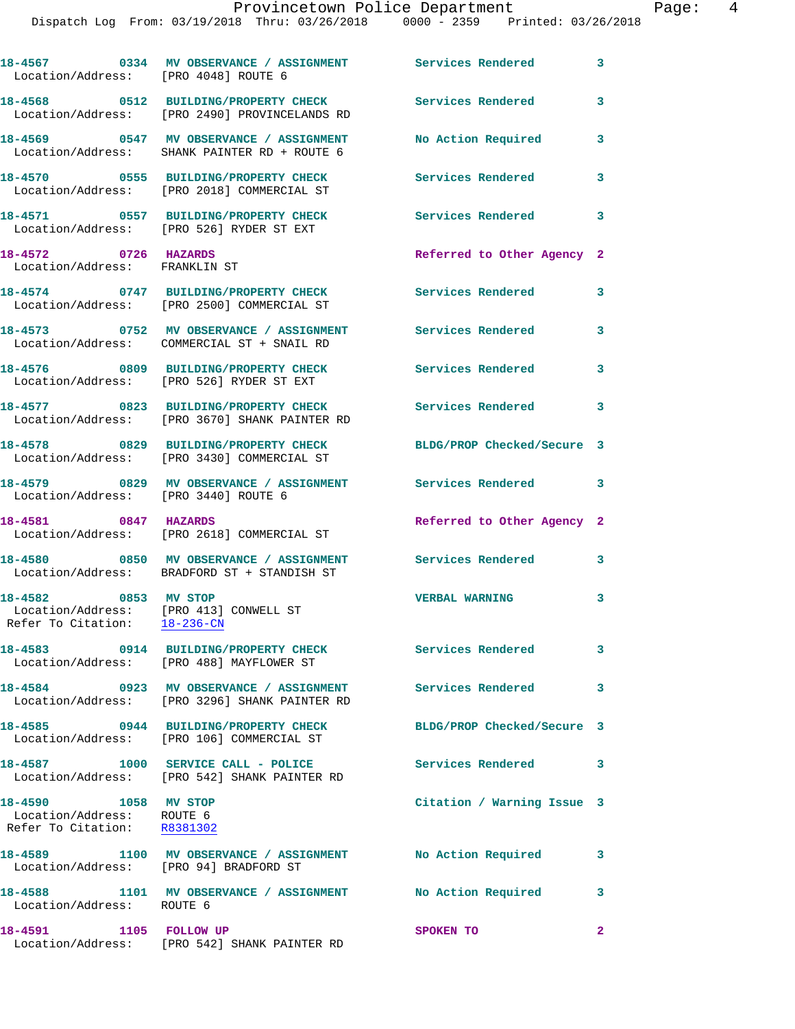| Location/Address: [PRO 4048] ROUTE 6                                                           | 18-4567 6334 MV OBSERVANCE / ASSIGNMENT Services Rendered                                                    |                            | $\mathbf{3}$               |
|------------------------------------------------------------------------------------------------|--------------------------------------------------------------------------------------------------------------|----------------------------|----------------------------|
|                                                                                                | 18-4568 0512 BUILDING/PROPERTY CHECK<br>Location/Address: [PRO 2490] PROVINCELANDS RD                        | <b>Services Rendered</b>   | $\mathbf{3}$               |
|                                                                                                | 18-4569 0547 MV OBSERVANCE / ASSIGNMENT<br>Location/Address: SHANK PAINTER RD + ROUTE 6                      | No Action Required         | 3                          |
|                                                                                                | 18-4570 0555 BUILDING/PROPERTY CHECK<br>Location/Address: [PRO 2018] COMMERCIAL ST                           | Services Rendered          | 3                          |
|                                                                                                | 18-4571 0557 BUILDING/PROPERTY CHECK<br>Location/Address: [PRO 526] RYDER ST EXT                             | Services Rendered          | $\overline{\phantom{a}}$   |
| 18-4572 0726 HAZARDS<br>Location/Address: FRANKLIN ST                                          |                                                                                                              | Referred to Other Agency 2 |                            |
|                                                                                                | 18-4574 0747 BUILDING/PROPERTY CHECK<br>Location/Address: [PRO 2500] COMMERCIAL ST                           | <b>Services Rendered</b>   | $\overline{\phantom{a}}$ 3 |
|                                                                                                | Location/Address: COMMERCIAL ST + SNAIL RD                                                                   |                            | 3                          |
|                                                                                                | 18-4576 0809 BUILDING/PROPERTY CHECK<br>Location/Address: [PRO 526] RYDER ST EXT                             | Services Rendered          | $\mathbf{3}$               |
|                                                                                                | 18-4577 0823 BUILDING/PROPERTY CHECK<br>Location/Address: [PRO 3670] SHANK PAINTER RD                        | <b>Services Rendered</b>   | 3                          |
|                                                                                                | 18-4578 0829 BUILDING/PROPERTY CHECK<br>Location/Address: [PRO 3430] COMMERCIAL ST                           | BLDG/PROP Checked/Secure 3 |                            |
| Location/Address: [PRO 3440] ROUTE 6                                                           | 18-4579 0829 MV OBSERVANCE / ASSIGNMENT Services Rendered 3                                                  |                            |                            |
| 18-4581 0847 HAZARDS                                                                           | Location/Address: [PRO 2618] COMMERCIAL ST                                                                   | Referred to Other Agency 2 |                            |
|                                                                                                | 18-4580 0850 MV OBSERVANCE / ASSIGNMENT Services Rendered 3<br>Location/Address: BRADFORD ST + STANDISH ST   |                            |                            |
| 18-4582 0853 MV STOP<br>Location/Address: [PRO 413] CONWELL ST<br>Refer To Citation: 18-236-CN |                                                                                                              | <b>VERBAL WARNING</b>      | $\overline{\mathbf{3}}$    |
|                                                                                                | 18-4583 0914 BUILDING/PROPERTY CHECK Services Rendered<br>Location/Address: [PRO 488] MAYFLOWER ST           |                            | $\mathbf{3}$               |
|                                                                                                | 18-4584 0923 MV OBSERVANCE / ASSIGNMENT Services Rendered 3<br>Location/Address: [PRO 3296] SHANK PAINTER RD |                            |                            |
|                                                                                                | 18-4585 0944 BUILDING/PROPERTY CHECK<br>Location/Address: [PRO 106] COMMERCIAL ST                            | BLDG/PROP Checked/Secure 3 |                            |
|                                                                                                | 18-4587 1000 SERVICE CALL - POLICE<br>Location/Address: [PRO 542] SHANK PAINTER RD                           | Services Rendered 3        |                            |
| 18-4590 1058 MV STOP<br>Location/Address: ROUTE 6<br>Refer To Citation: R8381302               |                                                                                                              | Citation / Warning Issue 3 |                            |
| Location/Address: [PRO 94] BRADFORD ST                                                         | 18-4589 1100 MV OBSERVANCE / ASSIGNMENT No Action Required                                                   |                            | $\mathbf{3}$               |
| Location/Address: ROUTE 6                                                                      | 18-4588 1101 MV OBSERVANCE / ASSIGNMENT No Action Required                                                   |                            | $\mathbf{3}$               |
| 18-4591 1105 FOLLOW UP                                                                         |                                                                                                              | SPOKEN TO                  | $\mathbf{2}$               |

Location/Address: [PRO 542] SHANK PAINTER RD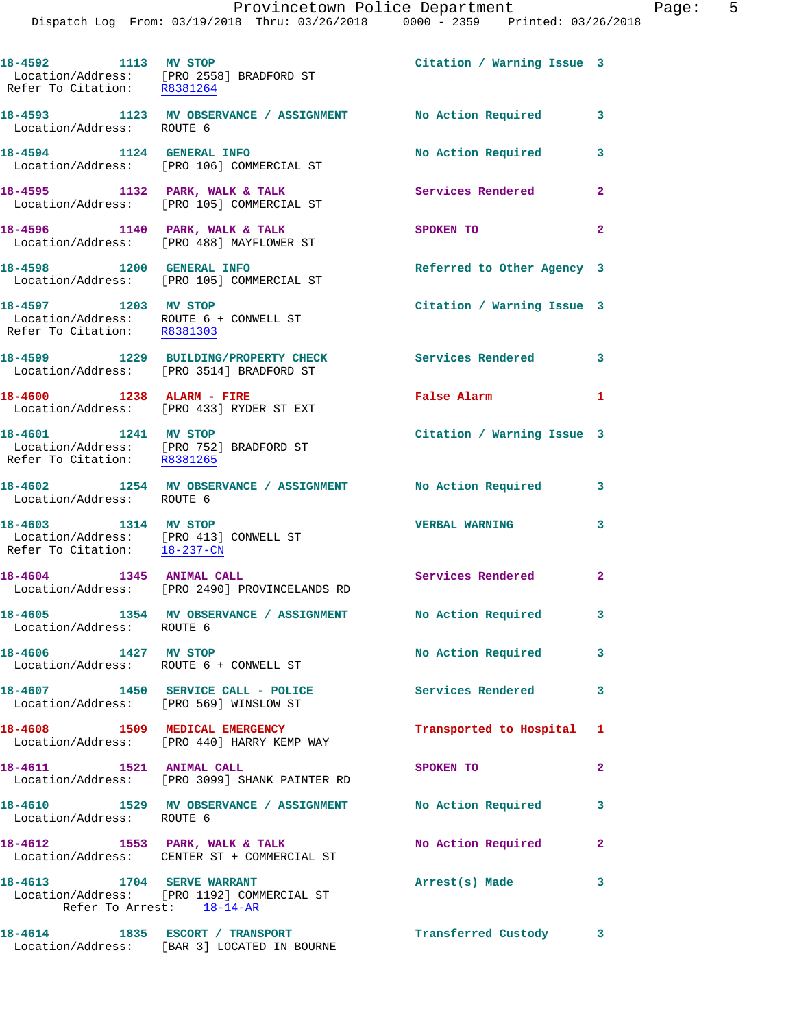|                                                                                                | Dispatch Log From: 03/19/2018 Thru: 03/26/2018 0000 - 2359 Printed: 03/26/2018                        | Provincetown Police Department | Page: 5        |
|------------------------------------------------------------------------------------------------|-------------------------------------------------------------------------------------------------------|--------------------------------|----------------|
| Refer To Citation: R8381264                                                                    | 18-4592 1113 MV STOP<br>Location/Address: [PRO 2558] BRADFORD ST                                      | Citation / Warning Issue 3     |                |
| Location/Address: ROUTE 6                                                                      | 18-4593 1123 MV OBSERVANCE / ASSIGNMENT No Action Required                                            |                                | $\mathbf{3}$   |
|                                                                                                | 18-4594 1124 GENERAL INFO<br>Location/Address: [PRO 106] COMMERCIAL ST                                | No Action Required 3           |                |
|                                                                                                | 18-4595 1132 PARK, WALK & TALK<br>Location/Address: [PRO 105] COMMERCIAL ST                           | Services Rendered              | $\mathbf{2}$   |
|                                                                                                | 18-4596 1140 PARK, WALK & TALK<br>Location/Address: [PRO 488] MAYFLOWER ST                            | SPOKEN TO                      | $\overline{a}$ |
|                                                                                                | 18-4598 1200 GENERAL INFO<br>Location/Address: [PRO 105] COMMERCIAL ST                                | Referred to Other Agency 3     |                |
| 18-4597 1203 MV STOP<br>Refer To Citation: R8381303                                            | Location/Address: ROUTE 6 + CONWELL ST                                                                | Citation / Warning Issue 3     |                |
|                                                                                                | 18-4599 1229 BUILDING/PROPERTY CHECK<br>Location/Address: [PRO 3514] BRADFORD ST                      | Services Rendered 3            |                |
|                                                                                                | 18-4600 1238 ALARM - FIRE<br>Location/Address: [PRO 433] RYDER ST EXT                                 | False Alarm                    | 1              |
| 18-4601 1241 MV STOP<br>Refer To Citation: R8381265                                            | Location/Address: [PRO 752] BRADFORD ST                                                               | Citation / Warning Issue 3     |                |
| Location/Address: ROUTE 6                                                                      | 18-4602 1254 MV OBSERVANCE / ASSIGNMENT No Action Required                                            |                                | 3              |
| 18-4603 1314 MV STOP<br>Location/Address: [PRO 413] CONWELL ST<br>Refer To Citation: 18-237-CN |                                                                                                       | <b>VERBAL WARNING</b>          | 3              |
| 18-4604 1345 ANIMAL CALL                                                                       | Location/Address: [PRO 2490] PROVINCELANDS RD                                                         | Services Rendered              | $\mathbf{2}$   |
| Location/Address: ROUTE 6                                                                      | 18-4605 1354 MV OBSERVANCE / ASSIGNMENT No Action Required                                            |                                | 3              |
|                                                                                                | 18-4606 1427 MV STOP<br>Location/Address: ROUTE 6 + CONWELL ST                                        | No Action Required             | 3              |
| Location/Address: [PRO 569] WINSLOW ST                                                         | 18-4607 1450 SERVICE CALL - POLICE Services Rendered                                                  |                                | 3              |
|                                                                                                | 18-4608 1509 MEDICAL EMERGENCY<br>Location/Address: [PRO 440] HARRY KEMP WAY                          | Transported to Hospital 1      |                |
| 18-4611 1521 ANIMAL CALL                                                                       | Location/Address: [PRO 3099] SHANK PAINTER RD                                                         | SPOKEN TO                      | 2              |
| Location/Address: ROUTE 6                                                                      | 18-4610 1529 MV OBSERVANCE / ASSIGNMENT No Action Required                                            |                                | 3              |
|                                                                                                | 18-4612 1553 PARK, WALK & TALK<br>Location/Address: CENTER ST + COMMERCIAL ST                         | No Action Required             | $\overline{2}$ |
|                                                                                                | 18-4613 1704 SERVE WARRANT<br>Location/Address: [PRO 1192] COMMERCIAL ST<br>Refer To Arrest: 18-14-AR | Arrest(s) Made                 | 3              |
|                                                                                                | 18-4614 1835 ESCORT / TRANSPORT                                                                       | Transferred Custody 3          |                |

Location/Address: [BAR 3] LOCATED IN BOURNE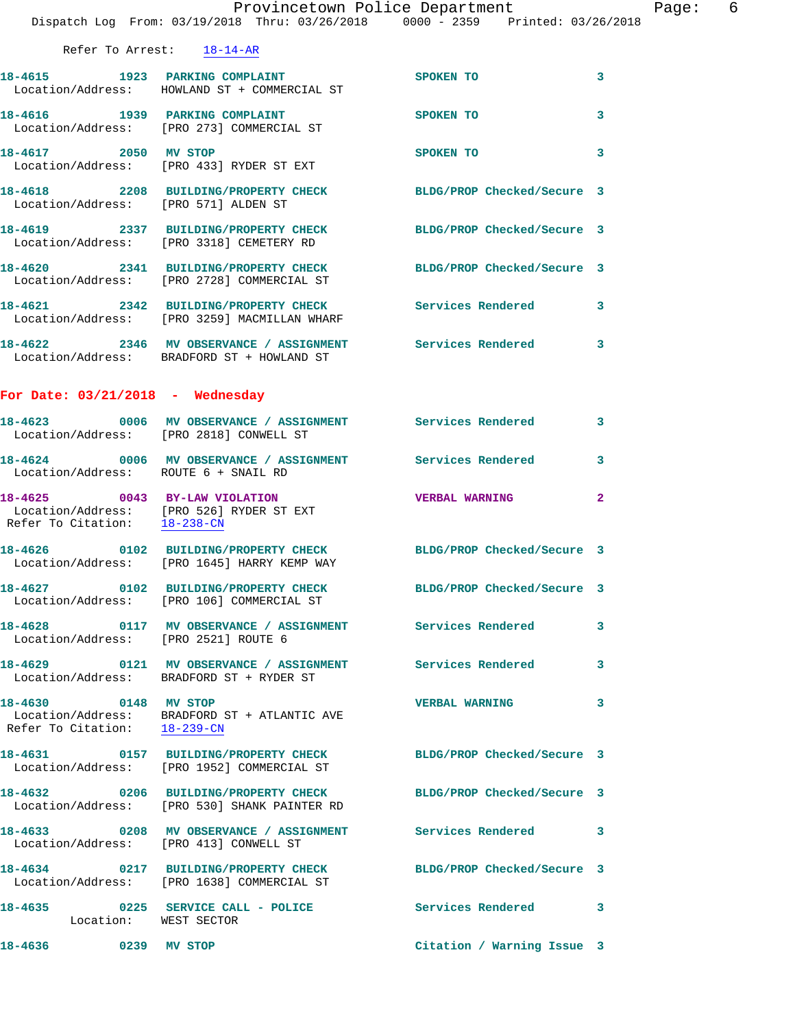|                                                      |                                                                                | Provincetown Police Department<br>Dispatch Log From: 03/19/2018 Thru: 03/26/2018 0000 - 2359 Printed: 03/26/2018  | $\rm{Pe}$      |
|------------------------------------------------------|--------------------------------------------------------------------------------|-------------------------------------------------------------------------------------------------------------------|----------------|
|                                                      | Refer To Arrest: 18-14-AR                                                      |                                                                                                                   |                |
|                                                      | 18-4615 1923 PARKING COMPLAINT<br>Location/Address: HOWLAND ST + COMMERCIAL ST | SPOKEN TO                                                                                                         | 3              |
|                                                      | 18-4616 1939 PARKING COMPLAINT<br>Location/Address: [PRO 273] COMMERCIAL ST    | SPOKEN TO                                                                                                         | 3              |
| 18-4617 2050 MV STOP                                 | Location/Address: [PRO 433] RYDER ST EXT                                       | SPOKEN TO                                                                                                         | 3              |
|                                                      |                                                                                | 18-4618 2208 BUILDING/PROPERTY CHECK BLDG/PROP Checked/Secure 3<br>Location/Address: [PRO 571] ALDEN ST           |                |
|                                                      |                                                                                | 18-4619   2337   BUILDING/PROPERTY CHECK   BLDG/PROP Checked/Secure 3<br>Location/Address: [PRO 3318] CEMETERY RD |                |
|                                                      | Location/Address: [PRO 2728] COMMERCIAL ST                                     | 18-4620 2341 BUILDING/PROPERTY CHECK BLDG/PROP Checked/Secure 3                                                   |                |
|                                                      | Location/Address: [PRO 3259] MACMILLAN WHARF                                   | 18-4621 2342 BUILDING/PROPERTY CHECK Services Rendered                                                            | 3              |
|                                                      | Location/Address: BRADFORD ST + HOWLAND ST                                     | 18-4622 2346 MV OBSERVANCE / ASSIGNMENT Services Rendered 3                                                       |                |
| For Date: $03/21/2018$ - Wednesday                   |                                                                                |                                                                                                                   |                |
|                                                      | Location/Address: [PRO 2818] CONWELL ST                                        | 18-4623 0006 MV OBSERVANCE / ASSIGNMENT Services Rendered                                                         | 3              |
| Location/Address: ROUTE 6 + SNAIL RD                 |                                                                                | 18-4624 0006 MV OBSERVANCE / ASSIGNMENT Services Rendered                                                         | 3              |
| Refer To Citation: 18-238-CN                         | 18-4625 0043 BY-LAW VIOLATION<br>Location/Address: [PRO 526] RYDER ST EXT      | <b>VERBAL WARNING</b>                                                                                             | $\overline{2}$ |
|                                                      | Location/Address: [PRO 1645] HARRY KEMP WAY                                    | 18-4626 0102 BUILDING/PROPERTY CHECK BLDG/PROP Checked/Secure 3                                                   |                |
|                                                      |                                                                                | 18-4627 0102 BUILDING/PROPERTY CHECK BLDG/PROP Checked/Secure 3<br>Location/Address: [PRO 106] COMMERCIAL ST      |                |
| Location/Address: [PRO 2521] ROUTE 6                 |                                                                                | 18-4628 0117 MV OBSERVANCE / ASSIGNMENT Services Rendered                                                         | 3              |
|                                                      | Location/Address: BRADFORD ST + RYDER ST                                       | 18-4629   0121 MV OBSERVANCE / ASSIGNMENT   Services Rendered                                                     | 3              |
| 18-4630 0148 MV STOP<br>Refer To Citation: 18-239-CN | Location/Address: BRADFORD ST + ATLANTIC AVE                                   | <b>VERBAL WARNING</b>                                                                                             | 3              |
|                                                      | Location/Address: [PRO 1952] COMMERCIAL ST                                     | 18-4631 0157 BUILDING/PROPERTY CHECK BLDG/PROP Checked/Secure 3                                                   |                |
|                                                      | Location/Address: [PRO 530] SHANK PAINTER RD                                   | 18-4632 0206 BUILDING/PROPERTY CHECK BLDG/PROP Checked/Secure 3                                                   |                |
| Location/Address: [PRO 413] CONWELL ST               |                                                                                | 18-4633 0208 MV OBSERVANCE / ASSIGNMENT Services Rendered                                                         | 3              |
|                                                      | Location/Address: [PRO 1638] COMMERCIAL ST                                     | 18-4634 0217 BUILDING/PROPERTY CHECK BLDG/PROP Checked/Secure 3                                                   |                |
| Location: WEST SECTOR                                |                                                                                | 18-4635 0225 SERVICE CALL - POLICE Services Rendered                                                              | 3              |
| 18-4636<br>0239 MV STOP                              |                                                                                | Citation / Warning Issue 3                                                                                        |                |

Page: 6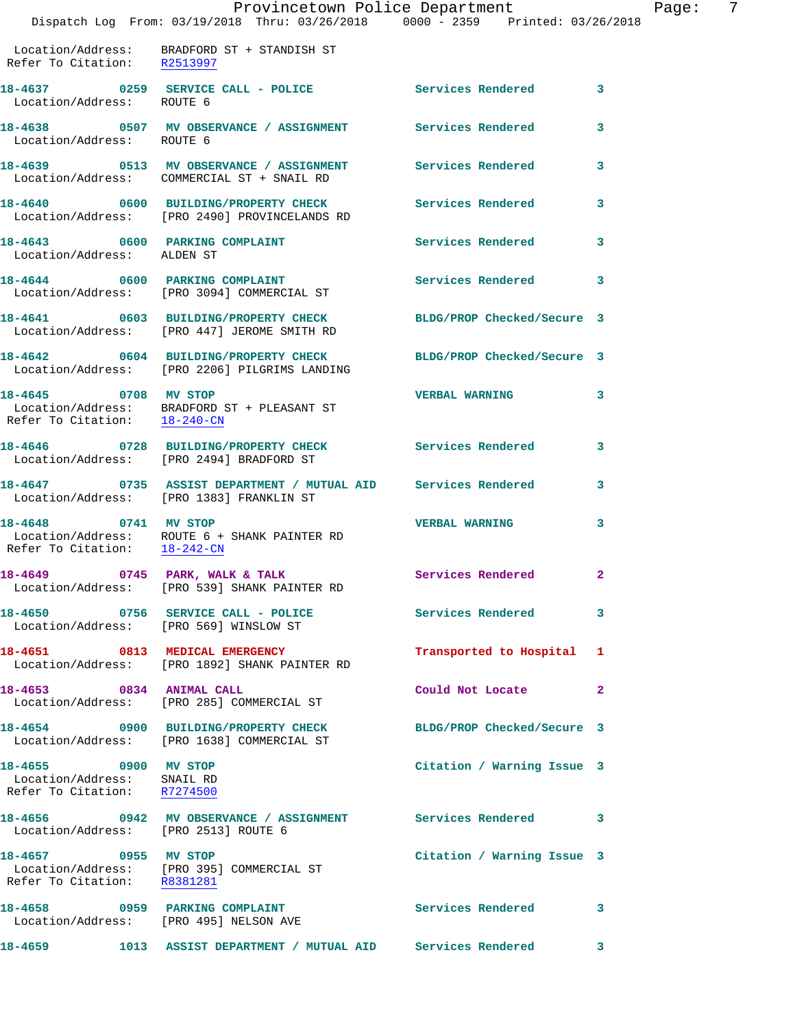|                                                                                   | Provincetown Police Department<br>Dispatch Log From: 03/19/2018 Thru: 03/26/2018 0000 - 2359 Printed: 03/26/2018       |                            |   |
|-----------------------------------------------------------------------------------|------------------------------------------------------------------------------------------------------------------------|----------------------------|---|
|                                                                                   |                                                                                                                        |                            |   |
| Refer To Citation: R2513997                                                       | Location/Address: BRADFORD ST + STANDISH ST                                                                            |                            |   |
| Location/Address: ROUTE 6                                                         | 18-4637 0259 SERVICE CALL - POLICE Services Rendered                                                                   |                            | 3 |
| Location/Address: ROUTE 6                                                         | 18-4638 6507 MV OBSERVANCE / ASSIGNMENT Services Rendered                                                              |                            | 3 |
|                                                                                   | 18-4639      0513   MV OBSERVANCE / ASSIGNMENT       Services Rendered<br>Location/Address:   COMMERCIAL ST + SNAIL RD |                            | 3 |
|                                                                                   | 18-4640 0600 BUILDING/PROPERTY CHECK<br>Location/Address: [PRO 2490] PROVINCELANDS RD                                  | <b>Services Rendered</b>   | 3 |
| 18-4643 0600 PARKING COMPLAINT<br>Location/Address: ALDEN ST                      |                                                                                                                        | <b>Services Rendered</b>   | 3 |
|                                                                                   | 18-4644 0600 PARKING COMPLAINT<br>Location/Address: [PRO 3094] COMMERCIAL ST                                           | <b>Services Rendered</b>   | 3 |
|                                                                                   | 18-4641 0603 BUILDING/PROPERTY CHECK<br>Location/Address: [PRO 447] JEROME SMITH RD                                    | BLDG/PROP Checked/Secure 3 |   |
|                                                                                   | 18-4642 0604 BUILDING/PROPERTY CHECK BLDG/PROP Checked/Secure 3<br>Location/Address: [PRO 2206] PILGRIMS LANDING       |                            |   |
| 18-4645 0708 MV STOP                                                              | Location/Address: BRADFORD ST + PLEASANT ST<br>Refer To Citation: $\frac{18-240-CN}{\sqrt{16}-240-CN}}$                | <b>VERBAL WARNING</b>      | 3 |
|                                                                                   | 18-4646 0728 BUILDING/PROPERTY CHECK<br>Location/Address: [PRO 2494] BRADFORD ST                                       | Services Rendered          | 3 |
|                                                                                   | 18-4647 0735 ASSIST DEPARTMENT / MUTUAL AID Services Rendered<br>Location/Address: [PRO 1383] FRANKLIN ST              |                            | 3 |
| 18-4648 0741 MV STOP<br>Refer To Citation: 18-242-CN                              | Location/Address: ROUTE 6 + SHANK PAINTER RD                                                                           | <b>VERBAL WARNING</b>      | 3 |
|                                                                                   | 18-4649 0745 PARK, WALK & TALK<br>Location/Address: [PRO 539] SHANK PAINTER RD                                         | Services Rendered          |   |
| Location/Address: [PRO 569] WINSLOW ST                                            | 18-4650 0756 SERVICE CALL - POLICE                                                                                     | <b>Services Rendered</b>   | 3 |
|                                                                                   | 18-4651 0813 MEDICAL EMERGENCY<br>Location/Address: [PRO 1892] SHANK PAINTER RD                                        | Transported to Hospital    | 1 |
| 18-4653 0834 ANIMAL CALL                                                          | Location/Address: [PRO 285] COMMERCIAL ST                                                                              | Could Not Locate           | 2 |
|                                                                                   | 18-4654 0900 BUILDING/PROPERTY CHECK<br>Location/Address: [PRO 1638] COMMERCIAL ST                                     | BLDG/PROP Checked/Secure 3 |   |
| 18-4655 0900 MV STOP<br>Location/Address: SNAIL RD<br>Refer To Citation: R7274500 |                                                                                                                        | Citation / Warning Issue 3 |   |
| Location/Address: [PRO 2513] ROUTE 6                                              | 18-4656  0942 MV OBSERVANCE / ASSIGNMENT  Services Rendered                                                            |                            | 3 |
| 18-4657 0955 MV STOP<br>Refer To Citation: R8381281                               | Location/Address: [PRO 395] COMMERCIAL ST                                                                              | Citation / Warning Issue 3 |   |
| Location/Address: [PRO 495] NELSON AVE                                            | 18-4658 0959 PARKING COMPLAINT                                                                                         | <b>Services Rendered</b>   | 3 |
| 18-4659                                                                           | 1013 ASSIST DEPARTMENT / MUTUAL AID Services Rendered                                                                  |                            | 3 |

Page: 7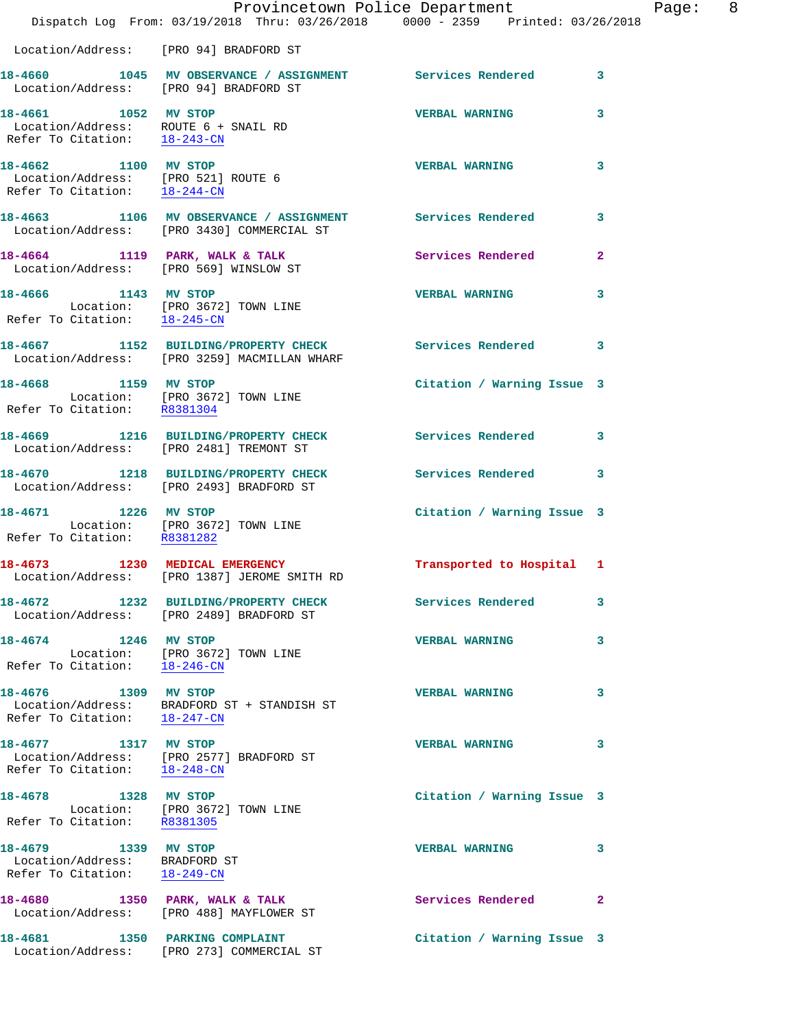|                                                                                                           | Provincetown Police Department<br>Dispatch Log From: 03/19/2018 Thru: 03/26/2018 0000 - 2359 Printed: 03/26/2018 |                            |              |
|-----------------------------------------------------------------------------------------------------------|------------------------------------------------------------------------------------------------------------------|----------------------------|--------------|
| Location/Address: [PRO 94] BRADFORD ST                                                                    |                                                                                                                  |                            |              |
|                                                                                                           | 18-4660 1045 MV OBSERVANCE / ASSIGNMENT Services Rendered<br>Location/Address: [PRO 94] BRADFORD ST              |                            | 3            |
| 18-4661 1052 MV STOP<br>Location/Address: ROUTE 6 + SNAIL RD<br>Refer To Citation: 18-243-CN              |                                                                                                                  | <b>VERBAL WARNING</b>      | 3            |
| 18-4662 1100 MV STOP<br>Location/Address: [PRO 521] ROUTE 6<br>Refer To Citation: $\frac{18-244-CN}{\pi}$ |                                                                                                                  | <b>VERBAL WARNING</b>      | 3            |
|                                                                                                           | 18-4663 1106 MV OBSERVANCE / ASSIGNMENT Services Rendered<br>Location/Address: [PRO 3430] COMMERCIAL ST          |                            | 3            |
|                                                                                                           | 18-4664 1119 PARK, WALK & TALK<br>Location/Address: [PRO 569] WINSLOW ST                                         | Services Rendered          | 2            |
| 18-4666 1143 MV STOP<br>Refer To Citation: 18-245-CN                                                      | Location: [PRO 3672] TOWN LINE                                                                                   | <b>VERBAL WARNING</b>      | 3            |
|                                                                                                           | 18-4667 1152 BUILDING/PROPERTY CHECK Services Rendered<br>Location/Address: [PRO 3259] MACMILLAN WHARF           |                            | 3            |
| 18-4668 1159 MV STOP<br>Location: [PRO 3672] TOWN LINE<br>Refer To Citation: R8381304                     |                                                                                                                  | Citation / Warning Issue 3 |              |
|                                                                                                           | 18-4669 1216 BUILDING/PROPERTY CHECK<br>Location/Address: [PRO 2481] TREMONT ST                                  | Services Rendered          | 3            |
|                                                                                                           | 18-4670 1218 BUILDING/PROPERTY CHECK<br>Location/Address: [PRO 2493] BRADFORD ST                                 | <b>Services Rendered</b>   | 3            |
| 18-4671 1226 MV STOP<br>Location: [PRO 3672] TOWN LINE<br>Refer To Citation: R8381282                     |                                                                                                                  | Citation / Warning Issue 3 |              |
|                                                                                                           | 18-4673 1230 MEDICAL EMERGENCY<br>Location/Address: [PRO 1387] JEROME SMITH RD                                   | Transported to Hospital 1  |              |
|                                                                                                           | 18-4672 1232 BUILDING/PROPERTY CHECK<br>Location/Address: [PRO 2489] BRADFORD ST                                 | <b>Services Rendered</b>   | 3            |
| 18-4674 1246 MV STOP                                                                                      | Location: [PRO 3672] TOWN LINE<br>Refer To Citation: 18-246-CN                                                   | <b>VERBAL WARNING</b>      | 3            |
| 18-4676 1309 MV STOP<br>Refer To Citation: 18-247-CN                                                      | Location/Address: BRADFORD ST + STANDISH ST                                                                      | <b>VERBAL WARNING</b>      | 3            |
| 18-4677 1317 MV STOP<br>Refer To Citation: 18-248-CN                                                      | Location/Address: [PRO 2577] BRADFORD ST                                                                         | <b>VERBAL WARNING</b>      | 3            |
| 18-4678 1328 MV STOP<br>Location: [PRO 3672] TOWN LINE<br>Refer To Citation: R8381305                     |                                                                                                                  | Citation / Warning Issue 3 |              |
| 18-4679 1339 MV STOP<br>Location/Address: BRADFORD ST<br>Refer To Citation: 18-249-CN                     |                                                                                                                  | <b>VERBAL WARNING</b>      | 3            |
|                                                                                                           | 18-4680 1350 PARK, WALK & TALK<br>Location/Address: [PRO 488] MAYFLOWER ST                                       | Services Rendered          | $\mathbf{2}$ |
| 18-4681 1350 PARKING COMPLAINT                                                                            | Location/Address: [PRO 273] COMMERCIAL ST                                                                        | Citation / Warning Issue 3 |              |

Page: 8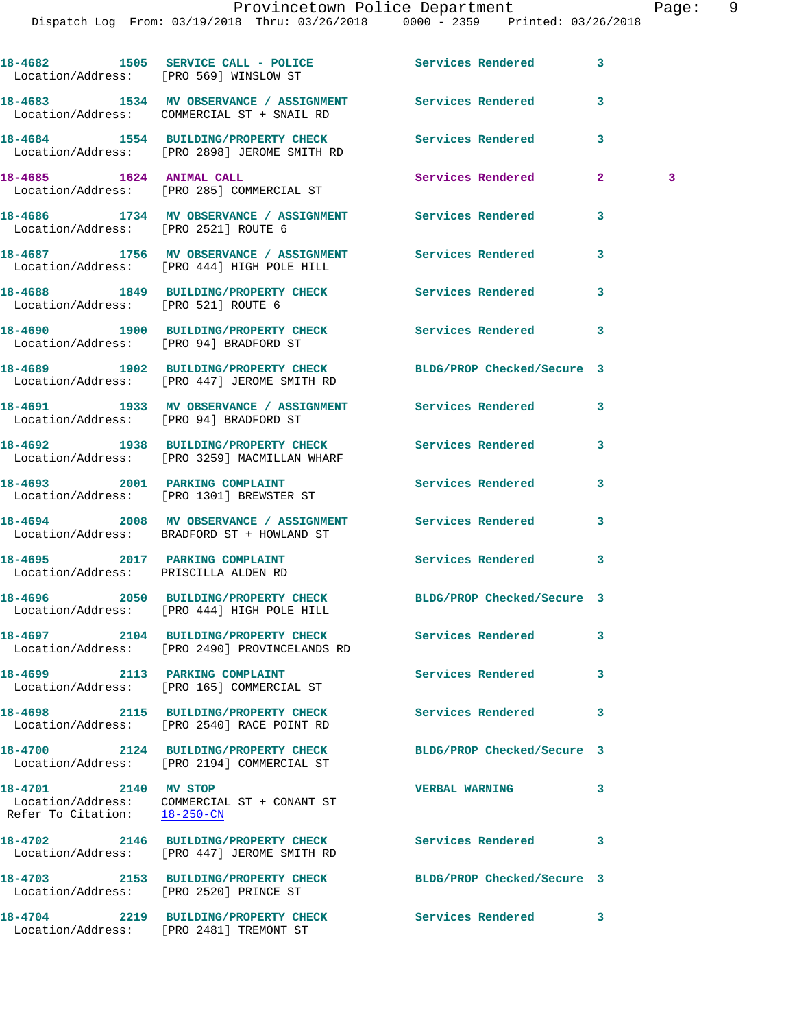Dispatch Log From: 03/19/2018 Thru: 03/26/2018 0000 - 2359 Printed: 03/26/2018 **18-4682 1505 SERVICE CALL - POLICE Services Rendered 3**  Location/Address: [PRO 569] WINSLOW ST **18-4683 1534 MV OBSERVANCE / ASSIGNMENT Services Rendered 3**  Location/Address: COMMERCIAL ST + SNAIL RD **18-4684 1554 BUILDING/PROPERTY CHECK Services Rendered 3**  Location/Address: [PRO 2898] JEROME SMITH RD **18-4685 1624 ANIMAL CALL Services Rendered 2 3**  Location/Address: [PRO 285] COMMERCIAL ST **18-4686 1734 MV OBSERVANCE / ASSIGNMENT Services Rendered 3**  Location/Address: [PRO 2521] ROUTE 6 **18-4687 1756 MV OBSERVANCE / ASSIGNMENT Services Rendered 3**  Location/Address: [PRO 444] HIGH POLE HILL **18-4688 1849 BUILDING/PROPERTY CHECK Services Rendered 3**  Location/Address: [PRO 521] ROUTE 6 **18-4690 1900 BUILDING/PROPERTY CHECK Services Rendered 3**  Location/Address: [PRO 94] BRADFORD ST **18-4689 1902 BUILDING/PROPERTY CHECK BLDG/PROP Checked/Secure 3**  Location/Address: [PRO 447] JEROME SMITH RD **18-4691 1933 MV OBSERVANCE / ASSIGNMENT Services Rendered 3**  Location/Address: [PRO 94] BRADFORD ST **18-4692 1938 BUILDING/PROPERTY CHECK Services Rendered 3**  Location/Address: [PRO 3259] MACMILLAN WHARF **18-4693 2001 PARKING COMPLAINT Services Rendered 3**  Location/Address: [PRO 1301] BREWSTER ST **18-4694 2008 MV OBSERVANCE / ASSIGNMENT Services Rendered 3**  BRADFORD ST + HOWLAND ST **18-4695 2017 PARKING COMPLAINT Services Rendered 3**  Location/Address: PRISCILLA ALDEN RD **18-4696 2050 BUILDING/PROPERTY CHECK BLDG/PROP Checked/Secure 3**  Location/Address: [PRO 444] HIGH POLE HILL **18-4697 2104 BUILDING/PROPERTY CHECK Services Rendered 3**  Location/Address: [PRO 2490] PROVINCELANDS RD **18-4699 2113 PARKING COMPLAINT Services Rendered 3**  Location/Address: [PRO 165] COMMERCIAL ST **18-4698 2115 BUILDING/PROPERTY CHECK Services Rendered 3**  Location/Address: [PRO 2540] RACE POINT RD **18-4700 2124 BUILDING/PROPERTY CHECK BLDG/PROP Checked/Secure 3**  Location/Address: [PRO 2194] COMMERCIAL ST **18-4701 2140 MV STOP VERBAL WARNING 3**  Location/Address: COMMERCIAL ST + CONANT ST Refer To Citation: 18-250-CN **18-4702 2146 BUILDING/PROPERTY CHECK Services Rendered 3**  Location/Address: [PRO 447] JEROME SMITH RD **18-4703 2153 BUILDING/PROPERTY CHECK BLDG/PROP Checked/Secure 3**  Location/Address: [PRO 2520] PRINCE ST

Location/Address: [PRO 2481] TREMONT ST

**18-4704 2219 BUILDING/PROPERTY CHECK Services Rendered 3**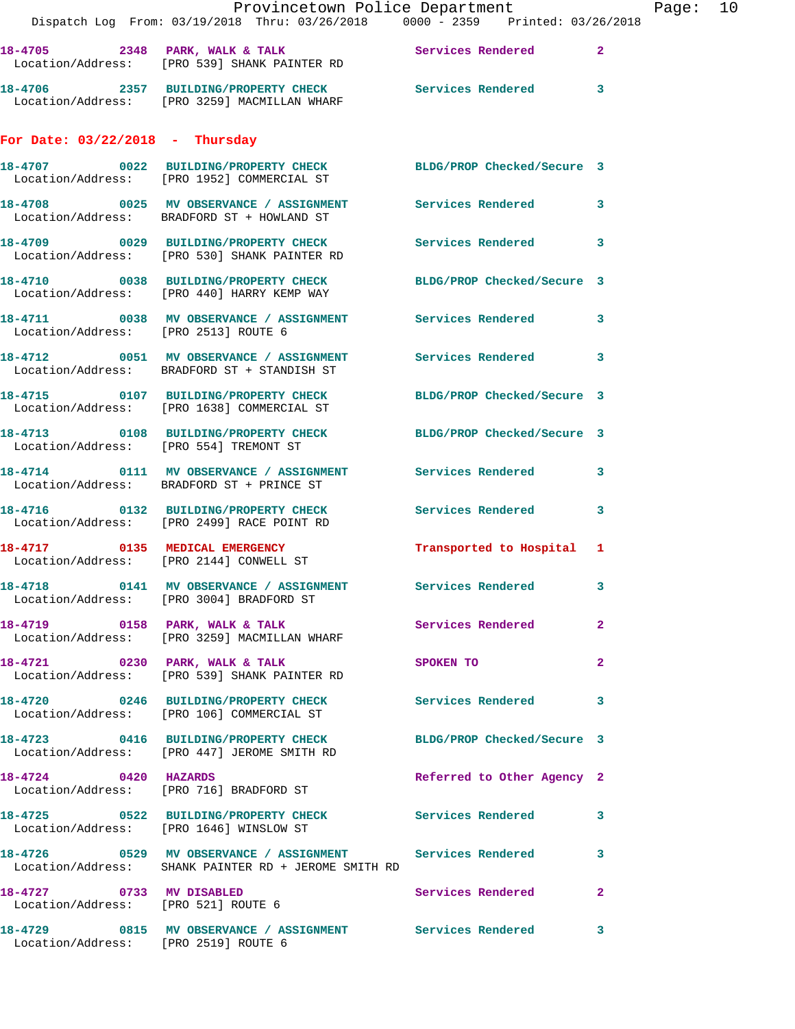|                                                                 | Provincetown Police Department<br>Dispatch Log From: 03/19/2018 Thru: 03/26/2018 0000 - 2359 Printed: 03/26/2018 |                            |                | Page: 10 |  |
|-----------------------------------------------------------------|------------------------------------------------------------------------------------------------------------------|----------------------------|----------------|----------|--|
|                                                                 | 18-4705 2348 PARK, WALK & TALK 2 Services Rendered 2<br>Location/Address: [PRO 539] SHANK PAINTER RD             |                            |                |          |  |
|                                                                 | 18-4706 2357 BUILDING/PROPERTY CHECK Services Rendered 3<br>Location/Address: [PRO 3259] MACMILLAN WHARF         |                            |                |          |  |
| For Date: $03/22/2018$ - Thursday                               |                                                                                                                  |                            |                |          |  |
|                                                                 | 18-4707 0022 BUILDING/PROPERTY CHECK BLDG/PROP Checked/Secure 3<br>Location/Address: [PRO 1952] COMMERCIAL ST    |                            |                |          |  |
|                                                                 | 18-4708 0025 MV OBSERVANCE / ASSIGNMENT Services Rendered<br>Location/Address: BRADFORD ST + HOWLAND ST          |                            | $\mathbf{3}$   |          |  |
|                                                                 | 18-4709 0029 BUILDING/PROPERTY CHECK Services Rendered 3<br>Location/Address: [PRO 530] SHANK PAINTER RD         |                            |                |          |  |
|                                                                 | 18-4710 0038 BUILDING/PROPERTY CHECK BLDG/PROP Checked/Secure 3<br>Location/Address: [PRO 440] HARRY KEMP WAY    |                            |                |          |  |
| Location/Address: [PRO 2513] ROUTE 6                            | 18-4711 0038 MV OBSERVANCE / ASSIGNMENT Services Rendered 3                                                      |                            |                |          |  |
|                                                                 | 18-4712 0051 MV OBSERVANCE / ASSIGNMENT Services Rendered<br>Location/Address: BRADFORD ST + STANDISH ST         |                            | 3              |          |  |
|                                                                 | 18-4715 0107 BUILDING/PROPERTY CHECK BLDG/PROP Checked/Secure 3<br>Location/Address: [PRO 1638] COMMERCIAL ST    |                            |                |          |  |
|                                                                 | 18-4713   0108   BUILDING/PROPERTY CHECK   BLDG/PROP Checked/Secure 3<br>Location/Address: [PRO 554] TREMONT ST  |                            |                |          |  |
|                                                                 | 18-4714 0111 MV OBSERVANCE / ASSIGNMENT Services Rendered<br>Location/Address: BRADFORD ST + PRINCE ST           |                            | 3              |          |  |
|                                                                 | 18-4716 		 0132 BUILDING/PROPERTY CHECK Services Rendered<br>Location/Address: [PRO 2499] RACE POINT RD          |                            | $\mathbf{3}$   |          |  |
|                                                                 | 18-4717 0135 MEDICAL EMERGENCY<br>Location/Address: [PRO 2144] CONWELL ST                                        | Transported to Hospital 1  |                |          |  |
|                                                                 | Location/Address: [PRO 3004] BRADFORD ST                                                                         |                            | 3              |          |  |
|                                                                 | 18-4719 0158 PARK, WALK & TALK<br>Location/Address: [PRO 3259] MACMILLAN WHARF                                   | Services Rendered          | $\overline{2}$ |          |  |
|                                                                 | 18-4721 0230 PARK, WALK & TALK<br>Location/Address: [PRO 539] SHANK PAINTER RD                                   | SPOKEN TO                  | $\overline{2}$ |          |  |
|                                                                 | 18-4720 0246 BUILDING/PROPERTY CHECK Services Rendered<br>Location/Address: [PRO 106] COMMERCIAL ST              |                            | 3              |          |  |
|                                                                 | 18-4723 0416 BUILDING/PROPERTY CHECK BLDG/PROP Checked/Secure 3<br>Location/Address: [PRO 447] JEROME SMITH RD   |                            |                |          |  |
| 18-4724 0420 HAZARDS                                            | Location/Address: [PRO 716] BRADFORD ST                                                                          | Referred to Other Agency 2 |                |          |  |
|                                                                 |                                                                                                                  |                            |                |          |  |
|                                                                 | Location/Address: SHANK PAINTER RD + JEROME SMITH RD                                                             |                            | 3              |          |  |
| 18-4727 0733 MV DISABLED<br>Location/Address: [PRO 521] ROUTE 6 |                                                                                                                  | Services Rendered          | $\mathbf{2}$   |          |  |
| Location/Address: [PRO 2519] ROUTE 6                            | 18-4729 6815 MV OBSERVANCE / ASSIGNMENT Services Rendered                                                        |                            | 3              |          |  |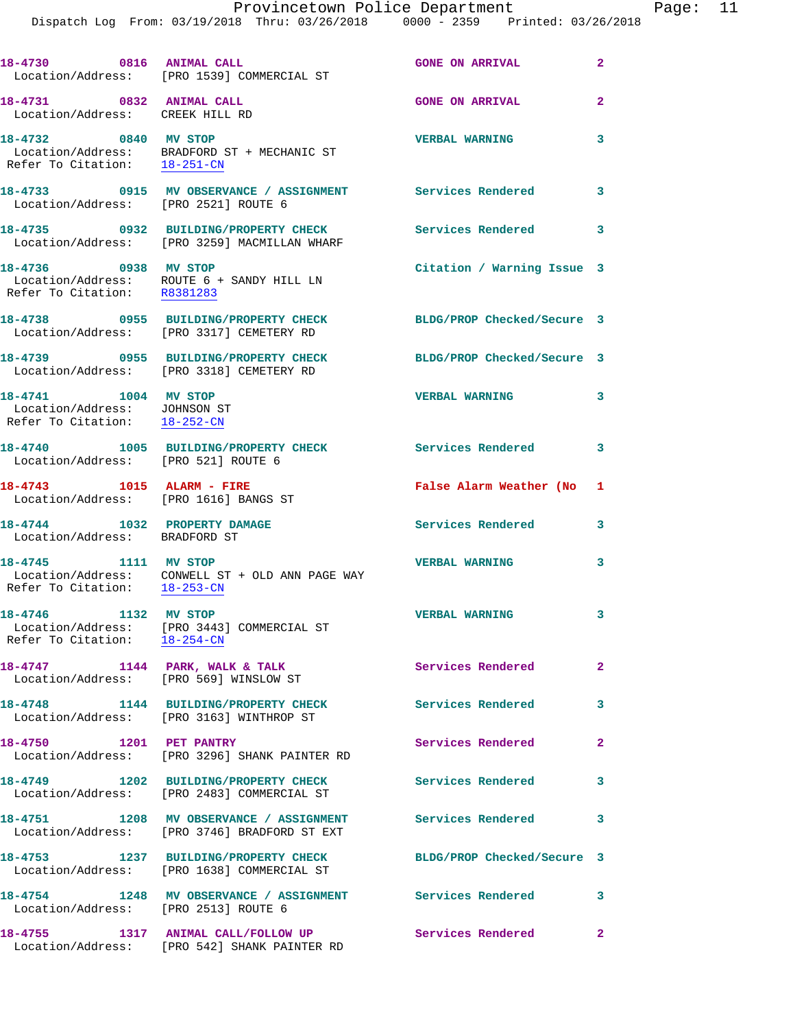|                                                                                      |                                                                                                               | Provincetown Police Department |              | Page: 11 |  |
|--------------------------------------------------------------------------------------|---------------------------------------------------------------------------------------------------------------|--------------------------------|--------------|----------|--|
|                                                                                      | Dispatch Log From: 03/19/2018 Thru: 03/26/2018 0000 - 2359 Printed: 03/26/2018                                |                                |              |          |  |
|                                                                                      | 18-4730 0816 ANIMAL CALL<br>Location/Address: [PRO 1539] COMMERCIAL ST                                        | GONE ON ARRIVAL 2              |              |          |  |
| 18-4731 0832 ANIMAL CALL<br>Location/Address: CREEK HILL RD                          |                                                                                                               | <b>GONE ON ARRIVAL</b>         | $\mathbf{2}$ |          |  |
| Refer To Citation: 18-251-CN                                                         | 18-4732 0840 MV STOP<br>Location/Address: BRADFORD ST + MECHANIC ST                                           | <b>VERBAL WARNING</b>          | 3            |          |  |
| Location/Address: [PRO 2521] ROUTE 6                                                 | 18-4733 0915 MV OBSERVANCE / ASSIGNMENT Services Rendered                                                     |                                | 3            |          |  |
|                                                                                      | 18-4735 0932 BUILDING/PROPERTY CHECK Services Rendered 3<br>Location/Address: [PRO 3259] MACMILLAN WHARF      |                                |              |          |  |
|                                                                                      |                                                                                                               | Citation / Warning Issue 3     |              |          |  |
|                                                                                      | 18-4738 0955 BUILDING/PROPERTY CHECK BLDG/PROP Checked/Secure 3<br>Location/Address: [PRO 3317] CEMETERY RD   |                                |              |          |  |
|                                                                                      | 18-4739 0955 BUILDING/PROPERTY CHECK BLDG/PROP Checked/Secure 3<br>Location/Address: [PRO 3318] CEMETERY RD   |                                |              |          |  |
| 18-4741 1004 MV STOP<br>Location/Address: JOHNSON ST<br>Refer To Citation: 18-252-CN |                                                                                                               | <b>VERBAL WARNING</b>          | 3            |          |  |
| Location/Address: [PRO 521] ROUTE 6                                                  | 18-4740 1005 BUILDING/PROPERTY CHECK Services Rendered 3                                                      |                                |              |          |  |
| Location/Address: [PRO 1616] BANGS ST                                                | 18-4743 1015 ALARM - FIRE                                                                                     | False Alarm Weather (No 1      |              |          |  |
| Location/Address: BRADFORD ST                                                        | 18-4744 1032 PROPERTY DAMAGE                                                                                  | Services Rendered 3            |              |          |  |
| Refer To Citation:                                                                   | 18-4745 1111 MV STOP<br>Location/Address: CONWELL ST + OLD ANN PAGE WAY<br>$18 - 253 - CN$                    | <b>VERBAL WARNING</b>          | 3            |          |  |
| 18-4746 1132 MV STOP<br>Refer To Citation: 18-254-CN                                 | Location/Address: [PRO 3443] COMMERCIAL ST                                                                    | <b>VERBAL WARNING</b>          | 3            |          |  |
|                                                                                      | 18-4747 1144 PARK, WALK & TALK<br>Location/Address: [PRO 569] WINSLOW ST                                      | Services Rendered              | 2            |          |  |
|                                                                                      | 18-4748 1144 BUILDING/PROPERTY CHECK Services Rendered<br>Location/Address: [PRO 3163] WINTHROP ST            |                                | 3            |          |  |
| 18-4750 1201 PET PANTRY                                                              | Location/Address: [PRO 3296] SHANK PAINTER RD                                                                 | Services Rendered              | 2            |          |  |
|                                                                                      | 18-4749 1202 BUILDING/PROPERTY CHECK<br>Location/Address: [PRO 2483] COMMERCIAL ST                            | Services Rendered              | 3            |          |  |
|                                                                                      | 18-4751 1208 MV OBSERVANCE / ASSIGNMENT<br>Location/Address: [PRO 3746] BRADFORD ST EXT                       | Services Rendered              | 3            |          |  |
|                                                                                      | 18-4753 1237 BUILDING/PROPERTY CHECK BLDG/PROP Checked/Secure 3<br>Location/Address: [PRO 1638] COMMERCIAL ST |                                |              |          |  |
| 18-4754                                                                              | 1248 MV OBSERVANCE / ASSIGNMENT Services Rendered 3                                                           |                                |              |          |  |

 Location/Address: [PRO 2513] ROUTE 6 **18-4755 1317 ANIMAL CALL/FOLLOW UP Services Rendered 2** 

Location/Address: [PRO 542] SHANK PAINTER RD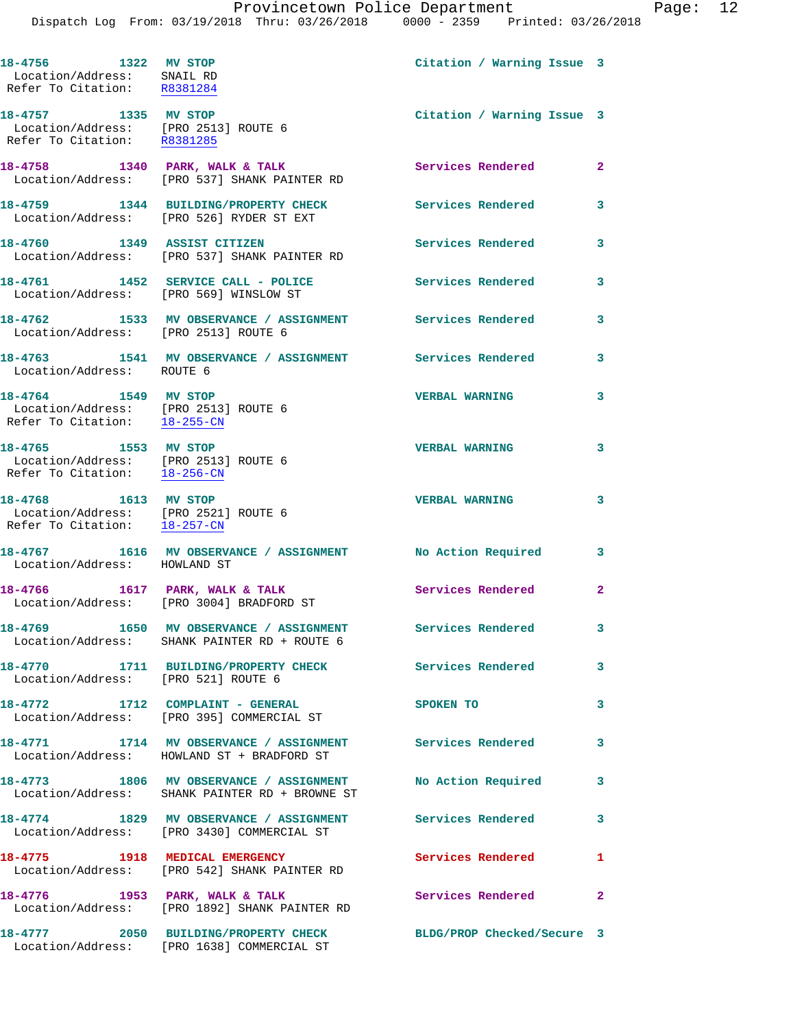**18-4756 1322 MV STOP Citation / Warning Issue 3**  Location/Address: SNAIL RD Refer To Citation: R8381284

 Location/Address: [PRO 2513] ROUTE 6 Refer To Citation: R8381285

18-4758 1340 PARK, WALK & TALK **Services Rendered** 2 Location/Address: [PRO 537] SHANK PAINTER RD

**18-4759 1344 BUILDING/PROPERTY CHECK Services Rendered 3**  Location/Address: [PRO 526] RYDER ST EXT **18-4760 1349 ASSIST CITIZEN Services Rendered 3**  Location/Address: [PRO 537] SHANK PAINTER RD

18-4761 1452 SERVICE CALL - POLICE 3 Services Rendered 3 Location/Address: [PRO 569] WINSLOW ST

**18-4762 1533 MV OBSERVANCE / ASSIGNMENT Services Rendered 3**  Location/Address: [PRO 2513] ROUTE 6 **18-4763 1541 MV OBSERVANCE / ASSIGNMENT Services Rendered 3** 

Location/Address: ROUTE 6

 Location/Address: [PRO 2513] ROUTE 6 Refer To Citation: 18-255-CN

 Location/Address: [PRO 2513] ROUTE 6 Refer To Citation: 18-256-CN

 Location/Address: [PRO 2521] ROUTE 6 Refer To Citation: 18-257-CN

**18-4767 1616 MV OBSERVANCE / ASSIGNMENT No Action Required 3**  Location/Address: HOWLAND ST

18-4766 1617 PARK, WALK & TALK **Services Rendered** 2

Location/Address: [PRO 542] SHANK PAINTER RD

Location/Address: [PRO 3004] BRADFORD ST

**18-4769 1650 MV OBSERVANCE / ASSIGNMENT Services Rendered 3**  Location/Address: SHANK PAINTER RD + ROUTE 6

Location/Address: [PRO 521] ROUTE 6

Location/Address: [PRO 395] COMMERCIAL ST

**18-4771 1714 MV OBSERVANCE / ASSIGNMENT Services Rendered 3**  Location/Address: HOWLAND ST + BRADFORD ST

**18-4773 1806 MV OBSERVANCE / ASSIGNMENT No Action Required 3**  Location/Address: SHANK PAINTER RD + BROWNE ST

**18-4774 1829 MV OBSERVANCE / ASSIGNMENT Services Rendered 3**  Location/Address: [PRO 3430] COMMERCIAL ST

**18-4775 1918 MEDICAL EMERGENCY Services Rendered 1** 

**18-4776 1953 PARK, WALK & TALK Services Rendered 2**  Location/Address: [PRO 1892] SHANK PAINTER RD

**18-4777 2050 BUILDING/PROPERTY CHECK BLDG/PROP Checked/Secure 3**  Location/Address: [PRO 1638] COMMERCIAL ST

**18-4757 1335 MV STOP Citation / Warning Issue 3** 

**18-4764 1549 MV STOP VERBAL WARNING 3** 

**18-4765 1553 MV STOP VERBAL WARNING 3 18-4768 1613 MV STOP VERBAL WARNING 3** 

**18-4770 1711 BUILDING/PROPERTY CHECK Services Rendered 3** 

**18-4772 1712 COMPLAINT - GENERAL SPOKEN TO 3**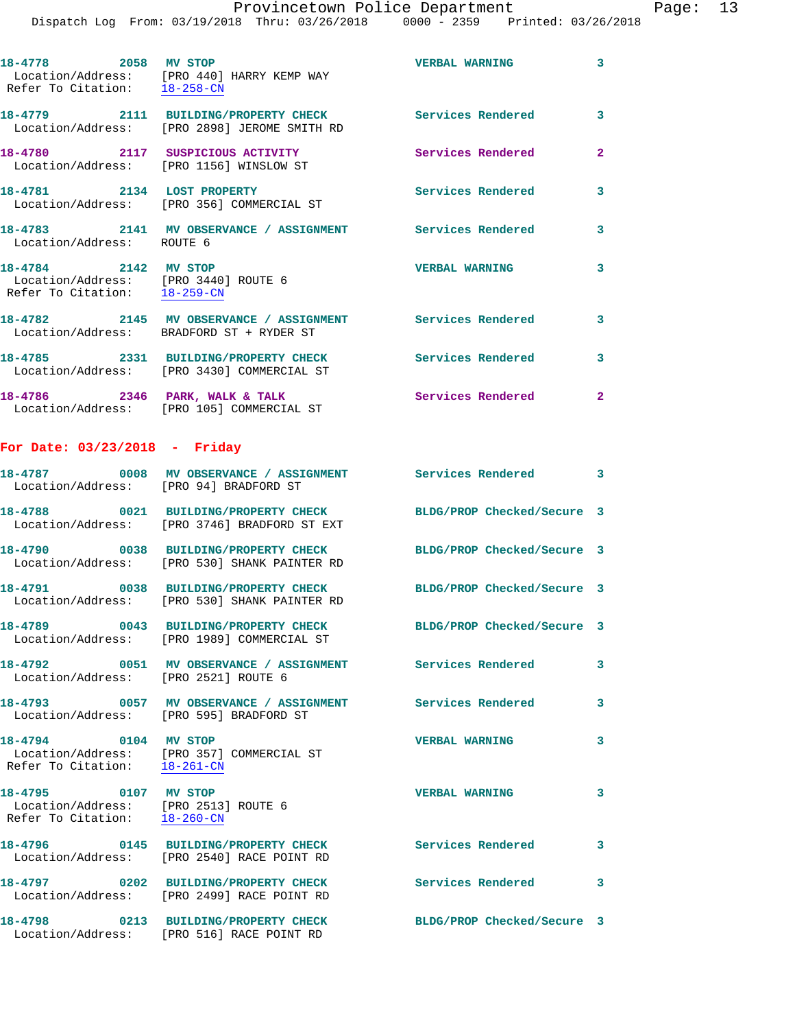| 18-4778 2058 MV STOP<br>Refer To Citation: 18-258-CN                                         | Location/Address: [PRO 440] HARRY KEMP WAY                                  | <b>VERBAL WARNING</b>    | $\mathbf{3}$ |
|----------------------------------------------------------------------------------------------|-----------------------------------------------------------------------------|--------------------------|--------------|
|                                                                                              | Location/Address: [PRO 2898] JEROME SMITH RD                                |                          | $\mathbf{3}$ |
|                                                                                              | 18-4780 2117 SUSPICIOUS ACTIVITY<br>Location/Address: [PRO 1156] WINSLOW ST | <b>Services Rendered</b> | $\mathbf{2}$ |
| 18-4781 2134 LOST PROPERTY                                                                   | Location/Address: [PRO 356] COMMERCIAL ST                                   | <b>Services Rendered</b> | $\mathbf{3}$ |
| Location/Address: ROUTE 6                                                                    | 18-4783 2141 MV OBSERVANCE / ASSIGNMENT Services Rendered                   |                          | 3            |
| 18-4784 2142 MV STOP<br>Location/Address: [PRO 3440] ROUTE 6<br>Refer To Citation: 18-259-CN |                                                                             | <b>VERBAL WARNING</b>    | 3            |
|                                                                                              | Location/Address: BRADFORD ST + RYDER ST                                    |                          | 3            |
|                                                                                              |                                                                             |                          | 3            |

 Location/Address: [PRO 3430] COMMERCIAL ST 18-4786 **2346** PARK, WALK & TALK **Services Rendered** 2 Location/Address: [PRO 105] COMMERCIAL ST

## **For Date: 03/23/2018 - Friday**

| Location/Address: [PRO 94] BRADFORD ST                                                       |                                                                                                                                             |                            | $\overline{\mathbf{3}}$ |
|----------------------------------------------------------------------------------------------|---------------------------------------------------------------------------------------------------------------------------------------------|----------------------------|-------------------------|
|                                                                                              | 18-4788 0021 BUILDING/PROPERTY CHECK<br>Location/Address: [PRO 3746] BRADFORD ST EXT                                                        | BLDG/PROP Checked/Secure 3 |                         |
|                                                                                              | Location/Address: [PRO 530] SHANK PAINTER RD                                                                                                | BLDG/PROP Checked/Secure 3 |                         |
|                                                                                              | Location/Address: [PRO 530] SHANK PAINTER RD                                                                                                | BLDG/PROP Checked/Secure 3 |                         |
|                                                                                              | 18-4789 0043 BUILDING/PROPERTY CHECK<br>Location/Address: [PRO 1989] COMMERCIAL ST                                                          | BLDG/PROP Checked/Secure 3 |                         |
| Location/Address: [PRO 2521] ROUTE 6                                                         |                                                                                                                                             |                            | $\mathbf{3}$            |
|                                                                                              | 18-4793                  0057     MV OBSERVANCE  /  ASSIGNMENT                 Services Rendered<br>Location/Address: [PRO 595] BRADFORD ST |                            | 3                       |
| 18-4794 0104 MV STOP<br>Refer To Citation: 18-261-CN                                         | Location/Address: [PRO 357] COMMERCIAL ST                                                                                                   | <b>VERBAL WARNING</b>      | $\mathbf{3}$            |
| 18-4795 0107 MV STOP<br>Location/Address: [PRO 2513] ROUTE 6<br>Refer To Citation: 18-260-CN |                                                                                                                                             | <b>VERBAL WARNING</b>      | $\mathbf{3}$            |
|                                                                                              | 18-4796 0145 BUILDING/PROPERTY CHECK<br>Location/Address: [PRO 2540] RACE POINT RD                                                          | <b>Services Rendered</b>   | 3                       |
|                                                                                              | 18-4797 0202 BUILDING/PROPERTY CHECK<br>Location/Address: [PRO 2499] RACE POINT RD                                                          | <b>Services Rendered</b>   | 3                       |
|                                                                                              | 18-4798 0213 BUILDING/PROPERTY CHECK<br>Location/Address: [PRO 516] RACE POINT RD                                                           | BLDG/PROP Checked/Secure 3 |                         |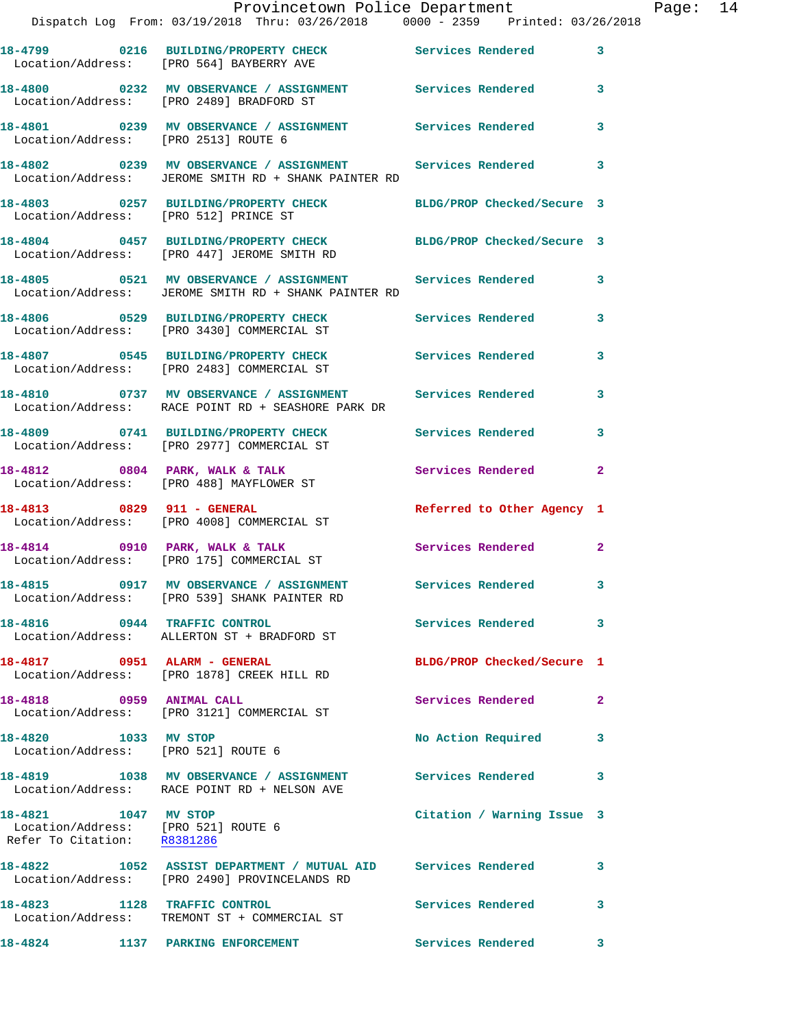|                                                                                            | Provincetown Police Department<br>Dispatch Log From: 03/19/2018 Thru: 03/26/2018 0000 - 2359 Printed: 03/26/2018    |                            |                         | Page: 14 |  |
|--------------------------------------------------------------------------------------------|---------------------------------------------------------------------------------------------------------------------|----------------------------|-------------------------|----------|--|
|                                                                                            | 18-4799 0216 BUILDING/PROPERTY CHECK Services Rendered 3<br>Location/Address: [PRO 564] BAYBERRY AVE                |                            |                         |          |  |
|                                                                                            | 18-4800 0232 MV OBSERVANCE / ASSIGNMENT Services Rendered 3<br>Location/Address: [PRO 2489] BRADFORD ST             |                            |                         |          |  |
|                                                                                            | 18-4801 0239 MV OBSERVANCE / ASSIGNMENT Services Rendered 3<br>Location/Address: [PRO 2513] ROUTE 6                 |                            |                         |          |  |
|                                                                                            | 18-4802 0239 MV OBSERVANCE / ASSIGNMENT Services Rendered 3<br>Location/Address: JEROME SMITH RD + SHANK PAINTER RD |                            |                         |          |  |
|                                                                                            | 18-4803 0257 BUILDING/PROPERTY CHECK BLDG/PROP Checked/Secure 3<br>Location/Address: [PRO 512] PRINCE ST            |                            |                         |          |  |
|                                                                                            | 18-4804 0457 BUILDING/PROPERTY CHECK BLDG/PROP Checked/Secure 3<br>Location/Address: [PRO 447] JEROME SMITH RD      |                            |                         |          |  |
|                                                                                            | 18-4805 0521 MV OBSERVANCE / ASSIGNMENT Services Rendered 3<br>Location/Address: JEROME SMITH RD + SHANK PAINTER RD |                            |                         |          |  |
|                                                                                            | 18-4806 0529 BUILDING/PROPERTY CHECK Services Rendered<br>Location/Address: [PRO 3430] COMMERCIAL ST                |                            | $\overline{\mathbf{3}}$ |          |  |
|                                                                                            | 18-4807 0545 BUILDING/PROPERTY CHECK Services Rendered 3<br>Location/Address: [PRO 2483] COMMERCIAL ST              |                            |                         |          |  |
|                                                                                            | 18-4810 0737 MV OBSERVANCE / ASSIGNMENT Services Rendered<br>Location/Address: RACE POINT RD + SEASHORE PARK DR     |                            | 3                       |          |  |
|                                                                                            | 18-4809 0741 BUILDING/PROPERTY CHECK Services Rendered 3<br>Location/Address: [PRO 2977] COMMERCIAL ST              |                            |                         |          |  |
|                                                                                            | 18-4812 0804 PARK, WALK & TALK<br>Location/Address: [PRO 488] MAYFLOWER ST                                          | Services Rendered          | $\mathbf{2}$            |          |  |
| 18-4813 0829 911 - GENERAL                                                                 | Location/Address: [PRO 4008] COMMERCIAL ST                                                                          | Referred to Other Agency 1 |                         |          |  |
|                                                                                            | 18-4814      0910   PARK, WALK & TALK<br>Location/Address:   [PRO 175]COMMERCIAL ST                                 | Services Rendered 2        |                         |          |  |
|                                                                                            | Location/Address: [PRO 539] SHANK PAINTER RD                                                                        |                            |                         |          |  |
|                                                                                            | 18-4816 0944 TRAFFIC CONTROL<br>Location/Address: ALLERTON ST + BRADFORD ST                                         | Services Rendered 3        |                         |          |  |
|                                                                                            | 18-4817 0951 ALARM - GENERAL<br>Location/Address: [PRO 1878] CREEK HILL RD                                          | BLDG/PROP Checked/Secure 1 |                         |          |  |
|                                                                                            | 18-4818 0959 ANIMAL CALL<br>Location/Address: [PRO 3121] COMMERCIAL ST                                              | Services Rendered          | $\mathbf{2}$            |          |  |
| 18-4820 1033 MV STOP                                                                       | Location/Address: [PRO 521] ROUTE 6                                                                                 | No Action Required 3       |                         |          |  |
|                                                                                            | 18-4819 1038 MV OBSERVANCE / ASSIGNMENT Services Rendered<br>Location/Address: RACE POINT RD + NELSON AVE           |                            | 3                       |          |  |
| 18-4821 1047 MV STOP<br>Location/Address: [PRO 521] ROUTE 6<br>Refer To Citation: R8381286 |                                                                                                                     | Citation / Warning Issue 3 |                         |          |  |
|                                                                                            | 18-4822 1052 ASSIST DEPARTMENT / MUTUAL AID Services Rendered<br>Location/Address: [PRO 2490] PROVINCELANDS RD      |                            | $\mathbf{3}$            |          |  |
|                                                                                            | 18-4823 1128 TRAFFIC CONTROL<br>Location/Address: TREMONT ST + COMMERCIAL ST                                        | Services Rendered          | 3                       |          |  |
| 18-4824                                                                                    | 1137 PARKING ENFORCEMENT                                                                                            | Services Rendered          | $\mathbf{3}$            |          |  |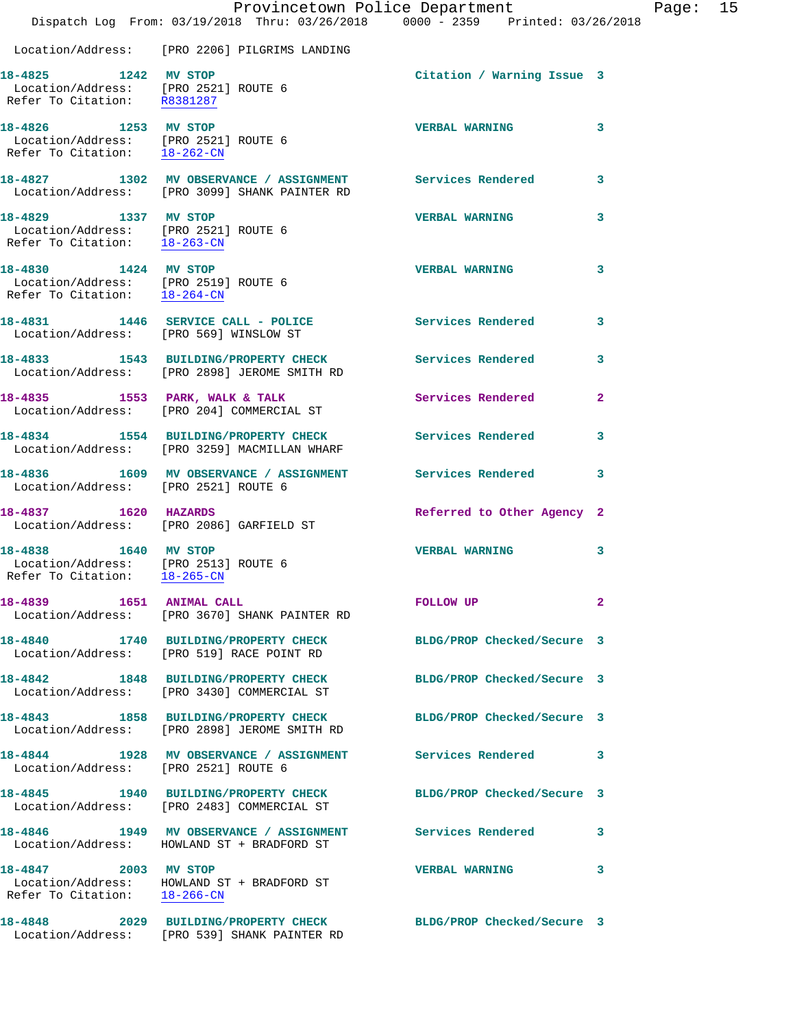|                                                                                              | Dispatch Log From: 03/19/2018 Thru: 03/26/2018 0000 - 2359 Printed: 03/26/2018                                  | Provincetown Police Department |                | Page: 15 |  |
|----------------------------------------------------------------------------------------------|-----------------------------------------------------------------------------------------------------------------|--------------------------------|----------------|----------|--|
|                                                                                              | Location/Address: [PRO 2206] PILGRIMS LANDING                                                                   |                                |                |          |  |
| 18-4825 1242 MV STOP<br>Location/Address: [PRO 2521] ROUTE 6<br>Refer To Citation: R8381287  |                                                                                                                 | Citation / Warning Issue 3     |                |          |  |
| 18-4826 1253 MV STOP<br>Location/Address: [PRO 2521] ROUTE 6<br>Refer To Citation: 18-262-CN |                                                                                                                 | <b>VERBAL WARNING</b>          | 3              |          |  |
|                                                                                              | 18-4827 1302 MV OBSERVANCE / ASSIGNMENT Services Rendered<br>Location/Address: [PRO 3099] SHANK PAINTER RD      |                                | 3              |          |  |
| 18-4829 1337 MV STOP<br>Refer To Citation: 18-263-CN                                         | Location/Address: [PRO 2521] ROUTE 6                                                                            | <b>VERBAL WARNING</b>          | 3              |          |  |
| 18-4830 1424 MV STOP<br>Location/Address: [PRO 2519] ROUTE 6<br>Refer To Citation: 18-264-CN |                                                                                                                 | <b>VERBAL WARNING</b>          | 3              |          |  |
| Location/Address: [PRO 569] WINSLOW ST                                                       | 18-4831 1446 SERVICE CALL - POLICE                                                                              | Services Rendered              | 3              |          |  |
|                                                                                              |                                                                                                                 | Services Rendered              | 3              |          |  |
|                                                                                              | 18-4835 1553 PARK, WALK & TALK<br>Location/Address: [PRO 204] COMMERCIAL ST                                     | Services Rendered              | $\overline{2}$ |          |  |
|                                                                                              | 18-4834 1554 BUILDING/PROPERTY CHECK<br>Location/Address: [PRO 3259] MACMILLAN WHARF                            | <b>Services Rendered</b>       | 3              |          |  |
| Location/Address: [PRO 2521] ROUTE 6                                                         | 18-4836 1609 MV OBSERVANCE / ASSIGNMENT Services Rendered                                                       |                                | 3              |          |  |
| 18-4837 1620 HAZARDS                                                                         | Location/Address: [PRO 2086] GARFIELD ST                                                                        | Referred to Other Agency 2     |                |          |  |
| 18-4838 1640 MV STOP<br>Location/Address: [PRO 2513] ROUTE 6<br>Refer To Citation: 18-265-CN |                                                                                                                 | <b>VERBAL WARNING</b>          | 3              |          |  |
| 18-4839 1651 ANIMAL CALL                                                                     | Location/Address: [PRO 3670] SHANK PAINTER RD                                                                   | FOLLOW UP                      | 2              |          |  |
|                                                                                              | 18-4840 1740 BUILDING/PROPERTY CHECK<br>Location/Address: [PRO 519] RACE POINT RD                               | BLDG/PROP Checked/Secure 3     |                |          |  |
|                                                                                              | 18-4842 1848 BUILDING/PROPERTY CHECK<br>Location/Address: [PRO 3430] COMMERCIAL ST                              | BLDG/PROP Checked/Secure 3     |                |          |  |
|                                                                                              | 18-4843 1858 BUILDING/PROPERTY CHECK<br>Location/Address: [PRO 2898] JEROME SMITH RD                            | BLDG/PROP Checked/Secure 3     |                |          |  |
| Location/Address: [PRO 2521] ROUTE 6                                                         |                                                                                                                 |                                | 3              |          |  |
|                                                                                              | 18-4845 1940 BUILDING/PROPERTY CHECK<br>Location/Address: [PRO 2483] COMMERCIAL ST                              | BLDG/PROP Checked/Secure 3     |                |          |  |
|                                                                                              | 18-4846 1949 MV OBSERVANCE / ASSIGNMENT Services Rendered 3<br>Location/Address: HOWLAND ST + BRADFORD ST       |                                |                |          |  |
| 18-4847 2003 MV STOP<br>Refer To Citation: 18-266-CN                                         | Location/Address: HOWLAND ST + BRADFORD ST                                                                      | <b>VERBAL WARNING</b>          | 3              |          |  |
|                                                                                              | 18-4848 2029 BUILDING/PROPERTY CHECK BLDG/PROP Checked/Secure 3<br>Location/Address: [PRO 539] SHANK PAINTER RD |                                |                |          |  |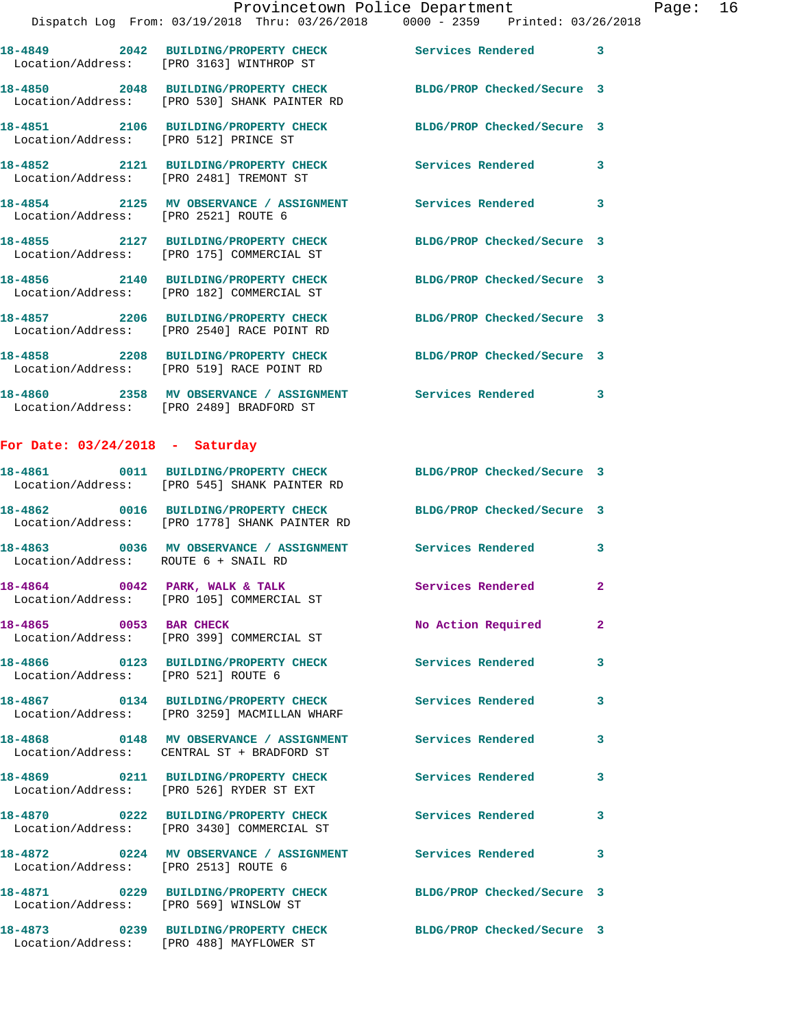**18-4852 2121 BUILDING/PROPERTY CHECK Services Rendered 3**  Location/Address: [PRO 2481] TREMONT ST

**18-4854 2125 MV OBSERVANCE / ASSIGNMENT Services Rendered 3**  Location/Address: [PRO 2521] ROUTE 6

**18-4855 2127 BUILDING/PROPERTY CHECK BLDG/PROP Checked/Secure 3**  Location/Address: [PRO 175] COMMERCIAL ST

**18-4856 2140 BUILDING/PROPERTY CHECK BLDG/PROP Checked/Secure 3**  Location/Address: [PRO 182] COMMERCIAL ST

**18-4857 2206 BUILDING/PROPERTY CHECK BLDG/PROP Checked/Secure 3**  Location/Address: [PRO 2540] RACE POINT RD

**18-4858 2208 BUILDING/PROPERTY CHECK BLDG/PROP Checked/Secure 3**  Location/Address: [PRO 519] RACE POINT RD

**18-4860 2358 MV OBSERVANCE / ASSIGNMENT Services Rendered 3** 

Location/Address: [PRO 2489] BRADFORD ST

## **For Date: 03/24/2018 - Saturday**

|                                        | 18-4861 0011 BUILDING/PROPERTY CHECK BLDG/PROP Checked/Secure 3<br>Location/Address: [PRO 545] SHANK PAINTER RD |                            |                         |
|----------------------------------------|-----------------------------------------------------------------------------------------------------------------|----------------------------|-------------------------|
|                                        | 18-4862 0016 BUILDING/PROPERTY CHECK<br>Location/Address: [PRO 1778] SHANK PAINTER RD                           | BLDG/PROP Checked/Secure 3 |                         |
| Location/Address: ROUTE 6 + SNAIL RD   | 18-4863 6036 MV OBSERVANCE / ASSIGNMENT Services Rendered                                                       |                            | $\mathbf{3}$            |
|                                        | 18-4864 0042 PARK, WALK & TALK<br>Location/Address: [PRO 105] COMMERCIAL ST                                     | <b>Services Rendered</b>   | $\overline{2}$          |
| 18-4865 0053 BAR CHECK                 | Location/Address: [PRO 399] COMMERCIAL ST                                                                       | No Action Required         | $\overline{2}$          |
| Location/Address: [PRO 521] ROUTE 6    | 18-4866 0123 BUILDING/PROPERTY CHECK                                                                            | <b>Services Rendered</b>   | $\overline{\mathbf{3}}$ |
|                                        | 18-4867 0134 BUILDING/PROPERTY CHECK<br>Location/Address: [PRO 3259] MACMILLAN WHARF                            | <b>Services Rendered</b>   | $\mathbf{3}$            |
|                                        | 18-4868 0148 MV OBSERVANCE / ASSIGNMENT<br>Location/Address: CENTRAL ST + BRADFORD ST                           | <b>Services Rendered</b>   | $\mathbf{3}$            |
|                                        | 18-4869 0211 BUILDING/PROPERTY CHECK<br>Location/Address: [PRO 526] RYDER ST EXT                                | <b>Services Rendered</b>   | 3                       |
|                                        | 18-4870 0222 BUILDING/PROPERTY CHECK<br>Location/Address: [PRO 3430] COMMERCIAL ST                              | <b>Services Rendered</b>   | 3                       |
| Location/Address: [PRO 2513] ROUTE 6   |                                                                                                                 |                            | $\mathbf{3}$            |
| Location/Address: [PRO 569] WINSLOW ST | 18-4871 0229 BUILDING/PROPERTY CHECK                                                                            | BLDG/PROP Checked/Secure 3 |                         |
|                                        | 18-4873 0239 BUILDING/PROPERTY CHECK<br>Location/Address: [PRO 488] MAYFLOWER ST                                | BLDG/PROP Checked/Secure 3 |                         |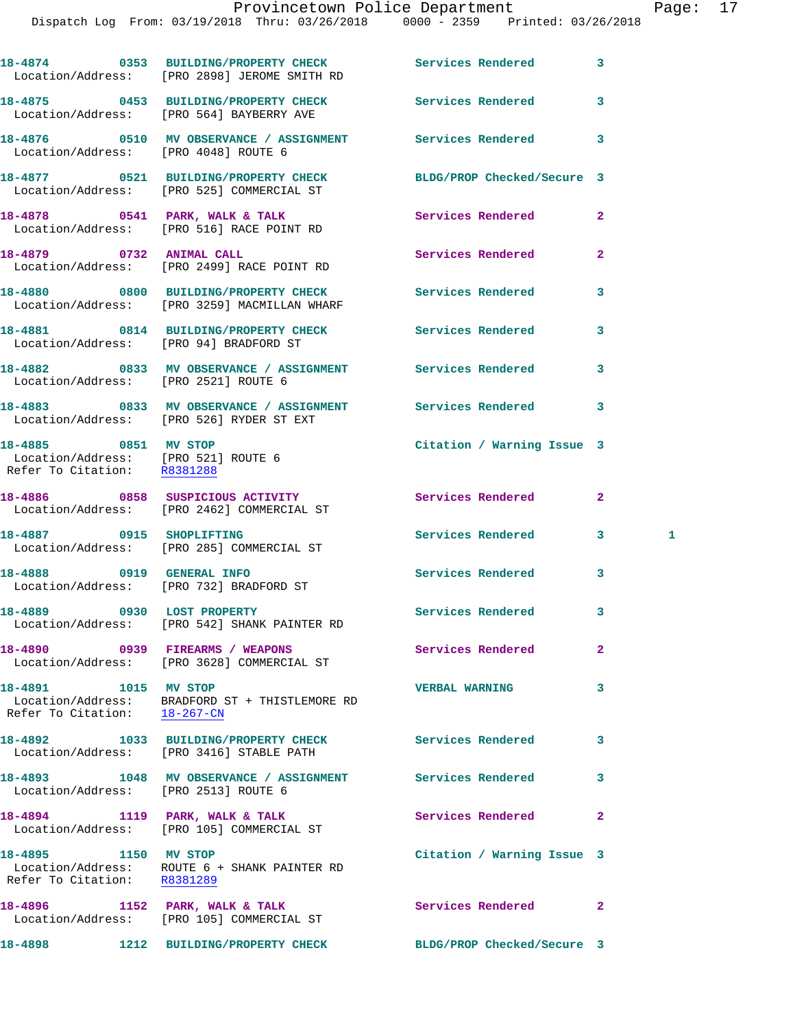|                                                                                            | 18-4874 0353 BUILDING/PROPERTY CHECK Services Rendered<br>Location/Address: [PRO 2898] JEROME SMITH RD |                            | 3              |
|--------------------------------------------------------------------------------------------|--------------------------------------------------------------------------------------------------------|----------------------------|----------------|
|                                                                                            | 18-4875 0453 BUILDING/PROPERTY CHECK<br>Location/Address: [PRO 564] BAYBERRY AVE                       | Services Rendered          | 3              |
| Location/Address: [PRO 4048] ROUTE 6                                                       |                                                                                                        |                            | 3              |
|                                                                                            | 18-4877 0521 BUILDING/PROPERTY CHECK<br>Location/Address: [PRO 525] COMMERCIAL ST                      | BLDG/PROP Checked/Secure 3 |                |
|                                                                                            | 18-4878 0541 PARK, WALK & TALK<br>Location/Address: [PRO 516] RACE POINT RD                            | Services Rendered          | $\overline{2}$ |
|                                                                                            | 18-4879 0732 ANIMAL CALL<br>Location/Address: [PRO 2499] RACE POINT RD                                 | Services Rendered          | $\overline{a}$ |
|                                                                                            | 18-4880 0800 BUILDING/PROPERTY CHECK<br>Location/Address: [PRO 3259] MACMILLAN WHARF                   | <b>Services Rendered</b>   | 3              |
| Location/Address: [PRO 94] BRADFORD ST                                                     | 18-4881 0814 BUILDING/PROPERTY CHECK                                                                   | <b>Services Rendered</b>   | 3              |
| Location/Address: [PRO 2521] ROUTE 6                                                       |                                                                                                        |                            | 3              |
|                                                                                            | 18-4883 6833 MV OBSERVANCE / ASSIGNMENT Services Rendered<br>Location/Address: [PRO 526] RYDER ST EXT  |                            | 3              |
| 18-4885 0851 MV STOP<br>Location/Address: [PRO 521] ROUTE 6<br>Refer To Citation: R8381288 |                                                                                                        | Citation / Warning Issue 3 |                |
|                                                                                            | 18-4886 0858 SUSPICIOUS ACTIVITY<br>Location/Address: [PRO 2462] COMMERCIAL ST                         | Services Rendered          | $\mathbf{2}$   |
|                                                                                            | 18-4887 0915 SHOPLIFTING<br>Location/Address: [PRO 285] COMMERCIAL ST                                  | Services Rendered          | 3<br>1         |
| 18-4888 0919 GENERAL INFO                                                                  | Location/Address: [PRO 732] BRADFORD ST                                                                | <b>Services Rendered</b>   | 3              |
| 18-4889 0930 LOST PROPERTY                                                                 | Location/Address: [PRO 542] SHANK PAINTER RD                                                           | Services Rendered          | 3              |
|                                                                                            | 18-4890 0939 FIREARMS / WEAPONS<br>Location/Address: [PRO 3628] COMMERCIAL ST                          | <b>Services Rendered</b>   | $\mathbf{2}$   |
| 18-4891 1015 MV STOP                                                                       | Location/Address: BRADFORD ST + THISTLEMORE RD<br>Refer To Citation: $\frac{18-267-CM}{18-267-CM}$     | <b>VERBAL WARNING</b>      | 3              |
|                                                                                            | 18-4892 1033 BUILDING/PROPERTY CHECK Services Rendered<br>Location/Address: [PRO 3416] STABLE PATH     |                            | 3              |
| Location/Address: [PRO 2513] ROUTE 6                                                       | 18-4893 1048 MV OBSERVANCE / ASSIGNMENT Services Rendered                                              |                            | 3              |
|                                                                                            | 18-4894 1119 PARK, WALK & TALK<br>Location/Address: [PRO 105] COMMERCIAL ST                            | Services Rendered          | $\mathbf{2}$   |
| 18-4895 1150 MV STOP<br>Refer To Citation: R8381289                                        | Location/Address: ROUTE 6 + SHANK PAINTER RD                                                           | Citation / Warning Issue 3 |                |
|                                                                                            | 18-4896 1152 PARK, WALK & TALK<br>Location/Address: [PRO 105] COMMERCIAL ST                            | <b>Services Rendered</b>   | $\mathbf{2}$   |
| 18-4898                                                                                    | 1212 BUILDING/PROPERTY CHECK BLDG/PROP Checked/Secure 3                                                |                            |                |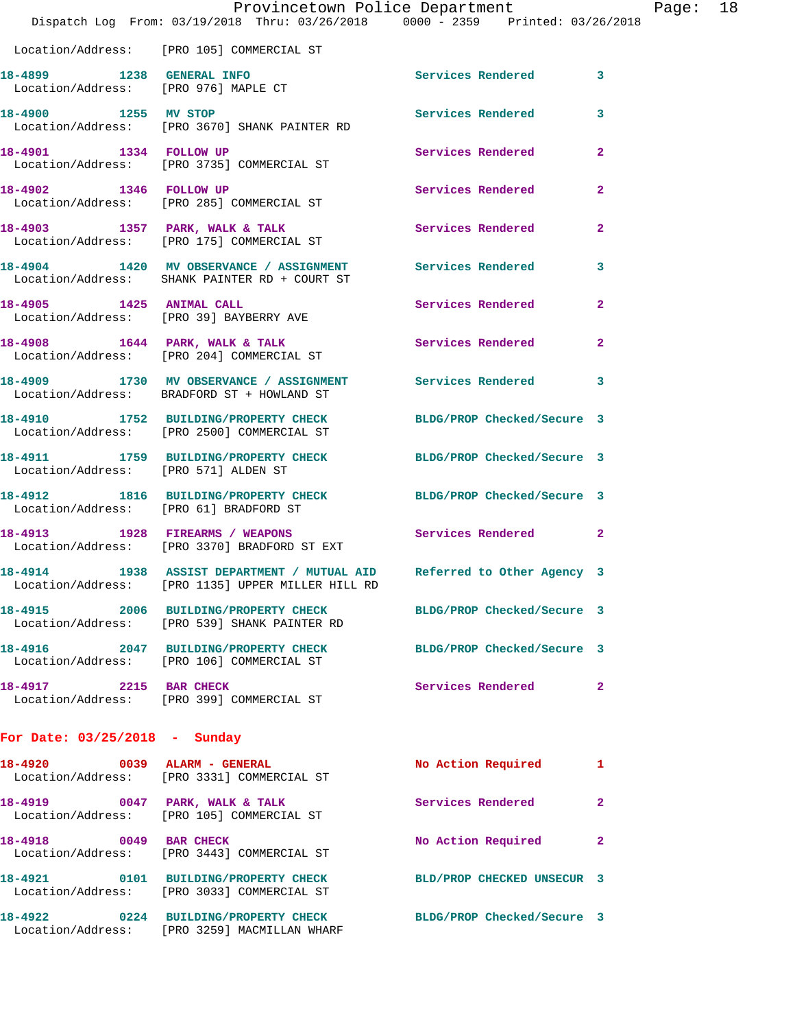|                                                                   | Provincetown Police Department<br>Dispatch Log From: 03/19/2018 Thru: 03/26/2018 0000 - 2359 Printed: 03/26/2018            |                            |                |
|-------------------------------------------------------------------|-----------------------------------------------------------------------------------------------------------------------------|----------------------------|----------------|
|                                                                   | Location/Address: [PRO 105] COMMERCIAL ST                                                                                   |                            |                |
| 18-4899 1238 GENERAL INFO<br>Location/Address: [PRO 976] MAPLE CT |                                                                                                                             | Services Rendered          | 3              |
| 18-4900 1255 MV STOP                                              | Location/Address: [PRO 3670] SHANK PAINTER RD                                                                               | Services Rendered          | 3              |
| 18-4901 1334 FOLLOW UP                                            | Location/Address: [PRO 3735] COMMERCIAL ST                                                                                  | Services Rendered          | $\mathbf{2}$   |
| 18-4902 1346 FOLLOW UP                                            | Location/Address: [PRO 285] COMMERCIAL ST                                                                                   | Services Rendered          | 2              |
|                                                                   | 18-4903 1357 PARK, WALK & TALK<br>Location/Address: [PRO 175] COMMERCIAL ST                                                 | Services Rendered          | $\overline{a}$ |
|                                                                   | 18-4904 1420 MV OBSERVANCE / ASSIGNMENT Services Rendered<br>Location/Address: SHANK PAINTER RD + COURT ST                  |                            | 3              |
| 18-4905 1425 ANIMAL CALL                                          | Location/Address: [PRO 39] BAYBERRY AVE                                                                                     | Services Rendered          | $\overline{a}$ |
|                                                                   | 18-4908 1644 PARK, WALK & TALK<br>Location/Address: [PRO 204] COMMERCIAL ST                                                 | Services Rendered          | 2              |
|                                                                   | 18-4909 1730 MV OBSERVANCE / ASSIGNMENT Services Rendered<br>Location/Address: BRADFORD ST + HOWLAND ST                     |                            | 3              |
|                                                                   | 18-4910 1752 BUILDING/PROPERTY CHECK<br>Location/Address: [PRO 2500] COMMERCIAL ST                                          | BLDG/PROP Checked/Secure 3 |                |
| Location/Address: [PRO 571] ALDEN ST                              | 18-4911 1759 BUILDING/PROPERTY CHECK                                                                                        | BLDG/PROP Checked/Secure 3 |                |
| Location/Address: [PRO 61] BRADFORD ST                            | 18-4912 1816 BUILDING/PROPERTY CHECK                                                                                        | BLDG/PROP Checked/Secure 3 |                |
|                                                                   | 18-4913 1928 FIREARMS / WEAPONS<br>Location/Address: [PRO 3370] BRADFORD ST EXT                                             | Services Rendered          | $\mathbf{2}$   |
|                                                                   | 18-4914 1938 ASSIST DEPARTMENT / MUTUAL AID Referred to Other Agency 3<br>Location/Address: [PRO 1135] UPPER MILLER HILL RD |                            |                |
| 18-4915                                                           | 2006 BUILDING/PROPERTY CHECK<br>Location/Address: [PRO 539] SHANK PAINTER RD                                                | BLDG/PROP Checked/Secure 3 |                |
|                                                                   | 18-4916 2047 BUILDING/PROPERTY CHECK<br>Location/Address: [PRO 106] COMMERCIAL ST                                           | BLDG/PROP Checked/Secure 3 |                |
| 18-4917 2215 BAR CHECK                                            | Location/Address: [PRO 399] COMMERCIAL ST                                                                                   | Services Rendered          | $\mathbf{2}$   |
| For Date: $03/25/2018$ - Sunday                                   |                                                                                                                             |                            |                |
| 18-4920 0039 ALARM - GENERAL                                      | Location/Address: [PRO 3331] COMMERCIAL ST                                                                                  | No Action Required         | 1              |
|                                                                   | 18-4919 0047 PARK, WALK & TALK<br>Location/Address: [PRO 105] COMMERCIAL ST                                                 | Services Rendered          | 2              |
| 0049 BAR CHECK<br>18-4918                                         | Location/Address: [PRO 3443] COMMERCIAL ST                                                                                  | No Action Required         | $\mathbf{2}$   |
|                                                                   | 18-4921 0101 BUILDING/PROPERTY CHECK<br>Location/Address: [PRO 3033] COMMERCIAL ST                                          | BLD/PROP CHECKED UNSECUR 3 |                |

**18-4922 0224 BUILDING/PROPERTY CHECK BLDG/PROP Checked/Secure 3**  Location/Address: [PRO 3259] MACMILLAN WHARF

Page:  $18$ <br>018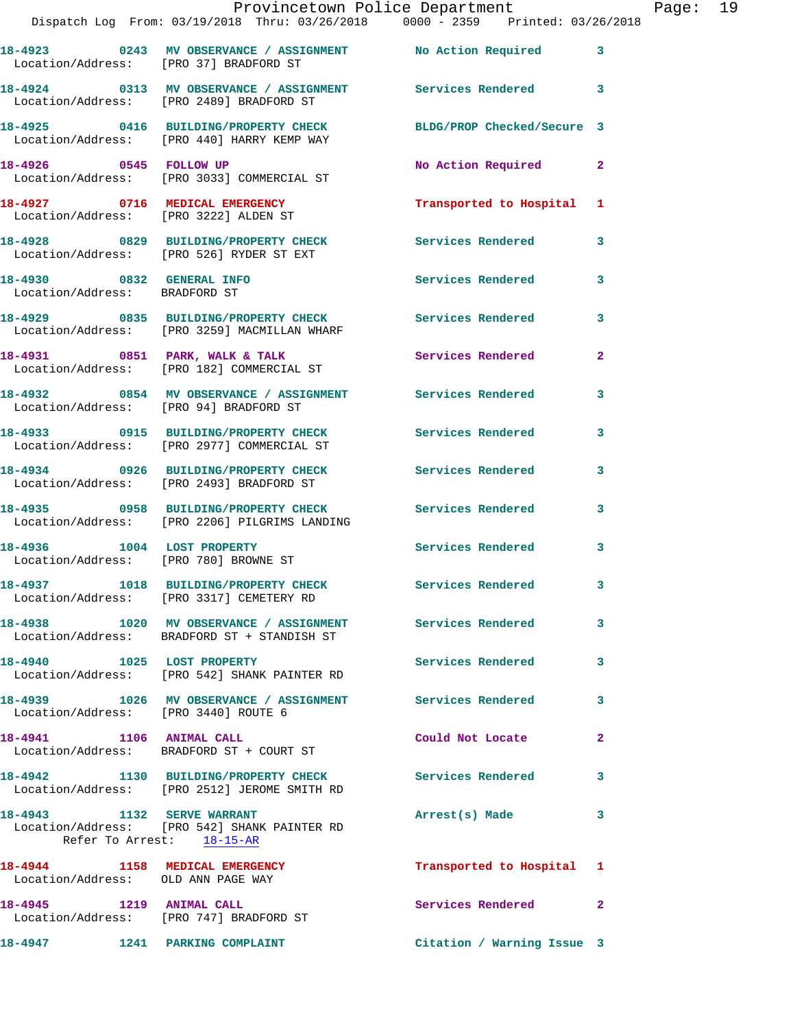|                                       | Provincetown Police Department The Page: 19<br>Dispatch Log From: 03/19/2018 Thru: 03/26/2018   0000 - 2359   Printed: 03/26/2018 |                            |                |  |
|---------------------------------------|-----------------------------------------------------------------------------------------------------------------------------------|----------------------------|----------------|--|
|                                       | 18-4923 		 0243 MV OBSERVANCE / ASSIGNMENT 		 No Action Required 		 3<br>Location/Address: [PRO 37] BRADFORD ST                   |                            |                |  |
|                                       | 18-4924 0313 MV OBSERVANCE / ASSIGNMENT Services Rendered 3<br>Location/Address: [PRO 2489] BRADFORD ST                           |                            |                |  |
|                                       | 18-4925 0416 BUILDING/PROPERTY CHECK BLDG/PROP Checked/Secure 3<br>Location/Address: [PRO 440] HARRY KEMP WAY                     |                            |                |  |
|                                       | 18-4926 0545 FOLLOW UP<br>Location/Address: [PRO 3033] COMMERCIAL ST                                                              | No Action Required 2       |                |  |
|                                       |                                                                                                                                   | Transported to Hospital 1  |                |  |
|                                       | 18-4928 6829 BUILDING/PROPERTY CHECK Services Rendered<br>Location/Address: [PRO 526] RYDER ST EXT                                |                            | 3              |  |
| Location/Address: BRADFORD ST         | 18-4930 0832 GENERAL INFO                                                                                                         | Services Rendered 3        |                |  |
|                                       | 18-4929 0835 BUILDING/PROPERTY CHECK Services Rendered<br>Location/Address: [PRO 3259] MACMILLAN WHARF                            |                            | 3              |  |
|                                       | 18-4931 0851 PARK, WALK & TALK Services Rendered<br>Location/Address: [PRO 182] COMMERCIAL ST                                     |                            | $\overline{2}$ |  |
|                                       | 18-4932 6854 MV OBSERVANCE / ASSIGNMENT Services Rendered<br>Location/Address: [PRO 94] BRADFORD ST                               |                            | 3              |  |
|                                       | 18-4933 0915 BUILDING/PROPERTY CHECK Services Rendered<br>Location/Address: [PRO 2977] COMMERCIAL ST                              |                            | 3              |  |
|                                       | 18-4934 0926 BUILDING/PROPERTY CHECK Services Rendered<br>Location/Address: [PRO 2493] BRADFORD ST                                |                            | 3              |  |
|                                       | 18-4935 0958 BUILDING/PROPERTY CHECK Services Rendered<br>Location/Address: [PRO 2206] PILGRIMS LANDING                           |                            | $\mathbf{3}$   |  |
| Location/Address: [PRO 780] BROWNE ST | 18-4936 1004 LOST PROPERTY                                                                                                        | Services Rendered 3        |                |  |
|                                       | 18-4937 1018 BUILDING/PROPERTY CHECK<br>Location/Address: [PRO 3317] CEMETERY RD                                                  | Services Rendered          |                |  |
|                                       | 18-4938 1020 MV OBSERVANCE / ASSIGNMENT Services Rendered<br>Location/Address: BRADFORD ST + STANDISH ST                          |                            | 3              |  |
|                                       | 18-4940 1025 LOST PROPERTY<br>Location/Address: [PRO 542] SHANK PAINTER RD                                                        | Services Rendered          | 3              |  |
| Location/Address: [PRO 3440] ROUTE 6  | 18-4939 1026 MV OBSERVANCE / ASSIGNMENT Services Rendered                                                                         |                            | 3              |  |
| 18-4941 1106 ANIMAL CALL              | Location/Address: BRADFORD ST + COURT ST                                                                                          | Could Not Locate           | $\overline{2}$ |  |
|                                       | 18-4942 1130 BUILDING/PROPERTY CHECK Services Rendered<br>Location/Address: [PRO 2512] JEROME SMITH RD                            |                            | 3              |  |
| 18-4943 1132 SERVE WARRANT            | Location/Address: [PRO 542] SHANK PAINTER RD<br>Refer To Arrest: 18-15-AR                                                         | Arrest(s) Made             | 3              |  |
| Location/Address: OLD ANN PAGE WAY    | 18-4944 1158 MEDICAL EMERGENCY                                                                                                    | Transported to Hospital 1  |                |  |
|                                       | 18-4945 1219 ANIMAL CALL<br>Location/Address: [PRO 747] BRADFORD ST                                                               | Services Rendered          | $\mathbf{2}$   |  |
|                                       | 18-4947 1241 PARKING COMPLAINT                                                                                                    | Citation / Warning Issue 3 |                |  |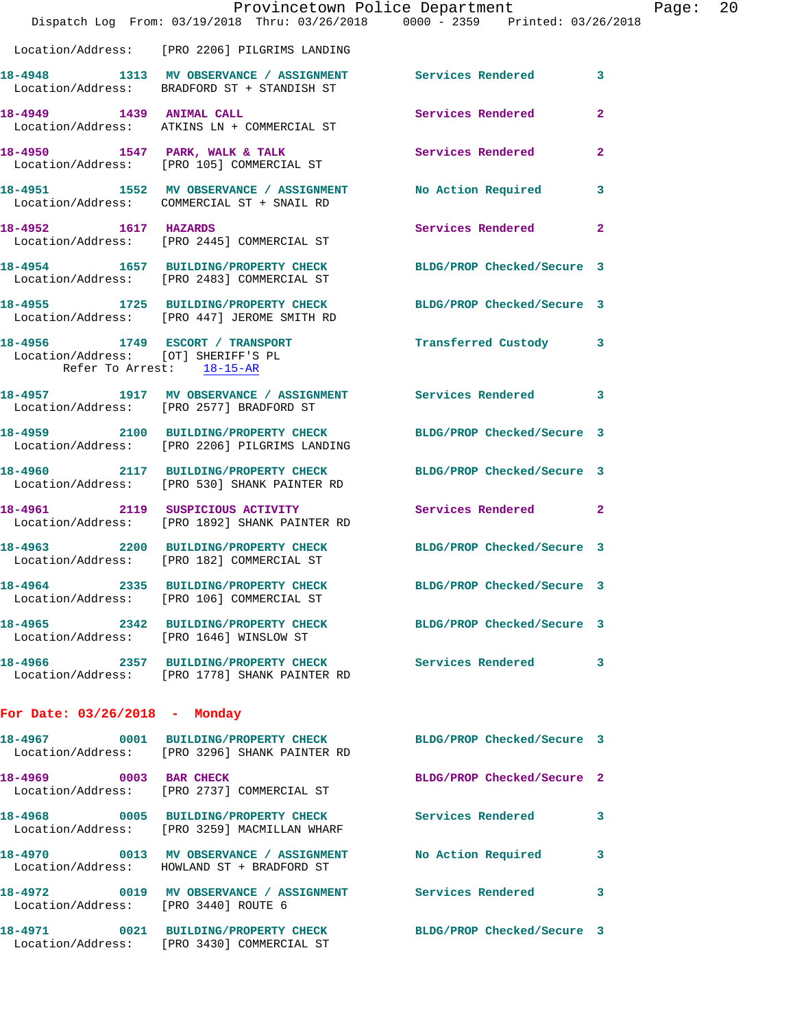|                                                                  | Dispatch Log From: 03/19/2018 Thru: 03/26/2018 0000 - 2359 Printed: 03/26/2018                                   | Provincetown Police Department    | Page: 20 |  |
|------------------------------------------------------------------|------------------------------------------------------------------------------------------------------------------|-----------------------------------|----------|--|
|                                                                  | Location/Address: [PRO 2206] PILGRIMS LANDING                                                                    |                                   |          |  |
|                                                                  | 18-4948 1313 MV OBSERVANCE / ASSIGNMENT Services Rendered 3<br>Location/Address: BRADFORD ST + STANDISH ST       |                                   |          |  |
|                                                                  | 18-4949 1439 ANIMAL CALL<br>Location/Address: ATKINS LN + COMMERCIAL ST                                          | Services Rendered<br>$\mathbf{2}$ |          |  |
|                                                                  | 18-4950 1547 PARK, WALK & TALK 6 Services Rendered<br>Location/Address: [PRO 105] COMMERCIAL ST                  | $\mathbf{2}$                      |          |  |
|                                                                  | 18-4951 1552 MV OBSERVANCE / ASSIGNMENT No Action Required 3<br>Location/Address: COMMERCIAL ST + SNAIL RD       |                                   |          |  |
| 18-4952 1617 HAZARDS                                             | Location/Address: [PRO 2445] COMMERCIAL ST                                                                       | Services Rendered<br>$\mathbf{2}$ |          |  |
|                                                                  | 18-4954 1657 BUILDING/PROPERTY CHECK BLDG/PROP Checked/Secure 3<br>Location/Address: [PRO 2483] COMMERCIAL ST    |                                   |          |  |
|                                                                  | 18-4955 1725 BUILDING/PROPERTY CHECK BLDG/PROP Checked/Secure 3<br>Location/Address: [PRO 447] JEROME SMITH RD   |                                   |          |  |
| Location/Address: [OT] SHERIFF'S PL<br>Refer To Arrest: 18-15-AR | 18-4956 1749 ESCORT / TRANSPORT                                                                                  | Transferred Custody 3             |          |  |
|                                                                  | 18-4957 1917 MV OBSERVANCE / ASSIGNMENT Services Rendered 3<br>Location/Address: [PRO 2577] BRADFORD ST          |                                   |          |  |
|                                                                  | 18-4959 2100 BUILDING/PROPERTY CHECK BLDG/PROP Checked/Secure 3<br>Location/Address: [PRO 2206] PILGRIMS LANDING |                                   |          |  |
|                                                                  | 18-4960 2117 BUILDING/PROPERTY CHECK BLDG/PROP Checked/Secure 3<br>Location/Address: [PRO 530] SHANK PAINTER RD  |                                   |          |  |
|                                                                  | 18-4961 2119 SUSPICIOUS ACTIVITY Services Rendered 2<br>Location/Address: [PRO 1892] SHANK PAINTER RD            |                                   |          |  |
|                                                                  | 18-4963 2200 BUILDING/PROPERTY CHECK BLDG/PROP Checked/Secure 3<br>Location/Address: [PRO 182] COMMERCIAL ST     |                                   |          |  |
|                                                                  | 18-4964 2335 BUILDING/PROPERTY CHECK<br>Location/Address: [PRO 106] COMMERCIAL ST                                | BLDG/PROP Checked/Secure 3        |          |  |
|                                                                  | 18-4965 2342 BUILDING/PROPERTY CHECK BLDG/PROP Checked/Secure 3<br>Location/Address: [PRO 1646] WINSLOW ST       |                                   |          |  |
|                                                                  | 18-4966 2357 BUILDING/PROPERTY CHECK Services Rendered 3<br>Location/Address: [PRO 1778] SHANK PAINTER RD        |                                   |          |  |
| For Date: $03/26/2018$ - Monday                                  |                                                                                                                  |                                   |          |  |
|                                                                  | 18-4967 0001 BUILDING/PROPERTY CHECK BLDG/PROP Checked/Secure 3<br>Location/Address: [PRO 3296] SHANK PAINTER RD |                                   |          |  |
|                                                                  | 18-4969 0003 BAR CHECK<br>Location/Address: [PRO 2737] COMMERCIAL ST                                             | BLDG/PROP Checked/Secure 2        |          |  |
|                                                                  | 18-4968 0005 BUILDING/PROPERTY CHECK Services Rendered 3<br>Location/Address: [PRO 3259] MACMILLAN WHARF         |                                   |          |  |
|                                                                  | 18-4970 0013 MV OBSERVANCE / ASSIGNMENT<br>Location/Address: HOWLAND ST + BRADFORD ST                            | <b>No Action Required</b><br>3    |          |  |
| Location/Address: [PRO 3440] ROUTE 6                             | 18-4972 0019 MV OBSERVANCE / ASSIGNMENT Services Rendered 3                                                      |                                   |          |  |
|                                                                  | 18-4971 0021 BUILDING/PROPERTY CHECK BLDG/PROP Checked/Secure 3<br>Location/Address: [PRO 3430] COMMERCIAL ST    |                                   |          |  |